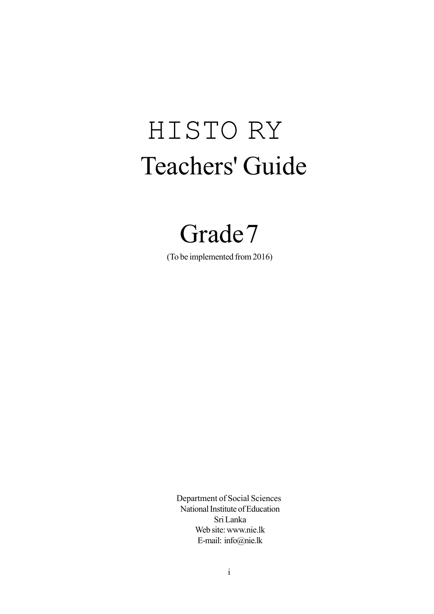# HISTO RY Teachers' Guide

## Grade7

(To be implemented from 2016)

 Department of Social Sciences National Institute of Education Sri Lanka Web site: www.nie.lk E-mail: info@nie.lk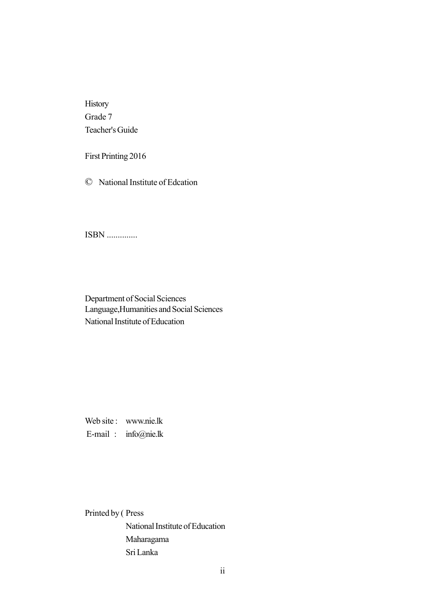History Grade 7 Teacher's Guide

First Printing 2016

© National Institute of Edcation

ISBN ..............

Department of Social Sciences Language,Humanities and Social Sciences National Institute of Education

Web site : www.nie.lk E-mail : info@nie.lk

Printed by ( Press

National Institute of Education Maharagama Sri Lanka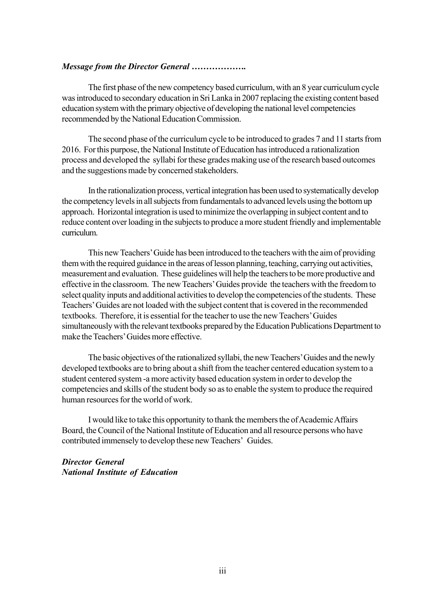#### *Message from the Director General ……………….*

The first phase of the new competency based curriculum, with an 8 year curriculum cycle was introduced to secondary education in Sri Lanka in 2007 replacing the existing content based education system with the primary objective of developing the national level competencies recommended by the National Education Commission.

The second phase of the curriculum cycle to be introduced to grades 7 and 11 starts from 2016. For this purpose, the National Institute of Education has introduced a rationalization process and developed the syllabi for these grades making use of the research based outcomes and the suggestions made by concerned stakeholders.

In the rationalization process, vertical integration has been used to systematically develop the competency levels in all subjects from fundamentals to advanced levels using the bottom up approach. Horizontal integration is used to minimize the overlapping in subject content and to reduce content over loading in the subjects to produce a more student friendly and implementable curriculum.

This new Teachers' Guide has been introduced to the teachers with the aim of providing them with the required guidance in the areas of lesson planning, teaching, carrying out activities, measurement and evaluation. These guidelines will help the teachers to be more productive and effective in the classroom. The new Teachers' Guides provide the teachers with the freedom to select quality inputs and additional activities to develop the competencies of the students. These Teachers' Guides are not loaded with the subject content that is covered in the recommended textbooks. Therefore, it is essential for the teacher to use the new Teachers' Guides simultaneously with the relevant textbooks prepared by the Education Publications Department to make the Teachers' Guides more effective.

The basic objectives of the rationalized syllabi, the new Teachers' Guides and the newly developed textbooks are to bring about a shift from the teacher centered education system to a student centered system -a more activity based education system in order to develop the competencies and skills of the student body so as to enable the system to produce the required human resources for the world of work.

I would like to take this opportunity to thank the members the of Academic Affairs Board, the Council of the National Institute of Education and all resource persons who have contributed immensely to develop these new Teachers' Guides.

*Director General National Institute of Education*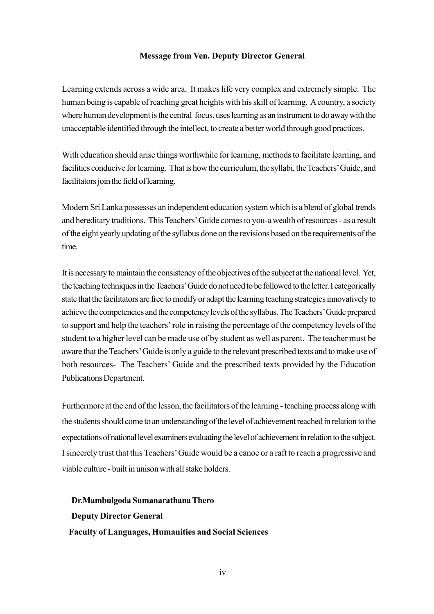#### **Message from Ven. Deputy Director General**

Learning extends across a wide area. It makes life very complex and extremely simple. The human being is capable of reaching great heights with his skill of learning. A country, a society where human development is the central focus, uses learning as an instrument to do away with the unacceptable identified through the intellect, to create a better world through good practices.

With education should arise things worthwhile for learning, methods to facilitate learning, and facilities conducive for learning. That is how the curriculum, the syllabi, the Teachers' Guide, and facilitators join the field of learning.

Modern Sri Lanka possesses an independent education system which is a blend of global trends and hereditary traditions. This Teachers' Guide comes to you-a wealth of resources - as a result of the eight yearly updating of the syllabus done on the revisions based on the requirements of the time.

It is necessary to maintain the consistency of the objectives of the subject at the national level. Yet, the teaching techniques in the Teachers' Guide do not need to be followed to the letter. I categorically state that the facilitators are free to modify or adapt the learning teaching strategies innovatively to achieve the competencies and the competency levels of the syllabus. The Teachers' Guide prepared to support and help the teachers' role in raising the percentage of the competency levels of the student to a higher level can be made use of by student as well as parent. The teacher must be aware that the Teachers' Guide is only a guide to the relevant prescribed texts and to make use of both resources- The Teachers' Guide and the prescribed texts provided by the Education Publications Department.

Furthermore at the end of the lesson, the facilitators of the learning - teaching process along with the students should come to an understanding of the level of achievement reached in relation to the expectations of national level examiners evaluating the level of achievement in relation to the subject. I sincerely trust that this Teachers' Guide would be a canoe or a raft to reach a progressive and viable culture - built in unison with all stake holders.

**Dr.Mambulgoda Sumanarathana Thero Deputy Director General Faculty of Languages, Humanities and Social Sciences**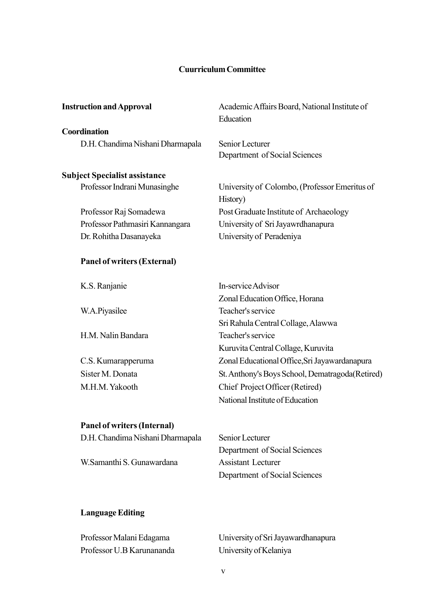#### **Cuurriculum Committee**

| <b>Instruction and Approval</b>      | Academic Affairs Board, National Institute of<br>Education |
|--------------------------------------|------------------------------------------------------------|
| Coordination                         |                                                            |
| D.H. Chandima Nishani Dharmapala     | Senior Lecturer<br>Department of Social Sciences           |
| <b>Subject Specialist assistance</b> |                                                            |
| Professor Indrani Munasinghe         | University of Colombo, (Professor Emeritus of<br>History)  |
| Professor Raj Somadewa               | Post Graduate Institute of Archaeology                     |
| Professor Pathmasiri Kannangara      | University of Sri Jayawrdhanapura                          |
| Dr. Rohitha Dasanayeka               | University of Peradeniya                                   |
| <b>Panel of writers (External)</b>   |                                                            |
| K.S. Ranjanie                        | In-service Advisor                                         |
|                                      | Zonal Education Office, Horana                             |
| W.A.Piyasilee                        | Teacher's service                                          |
|                                      | Sri Rahula Central Collage, Alawwa                         |
| H.M. Nalin Bandara                   | Teacher's service                                          |
|                                      | Kuruvita Central Collage, Kuruvita                         |
| C.S. Kumarapperuma                   | Zonal Educational Office, Sri Jayawardanapura              |
| Sister M. Donata                     | St. Anthony's Boys School, Dematragoda (Retired)           |
| M.H.M. Yakooth                       | Chief Project Officer (Retired)                            |
|                                      | National Institute of Education                            |
| <b>Panel of writers (Internal)</b>   |                                                            |
| D.H. Chandima Nishani Dharmapala     | Senior Lecturer                                            |
|                                      | Department of Social Sciences                              |
| W.Samanthi S. Gunawardana            | <b>Assistant Lecturer</b>                                  |
|                                      | Department of Social Sciences                              |

## **Language Editing**

| Professor Malani Edagama  | University of Sri Jayawardhanapura |
|---------------------------|------------------------------------|
| Professor U.B Karunananda | University of Kelaniya             |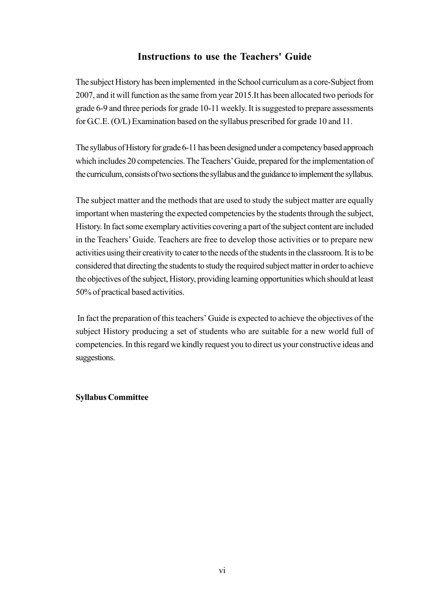#### **Instructions to use the Teachers' Guide**

The subject History has been implemented in the School curriculum as a core-Subject from 2007, and it will function as the same from year 2015.It has been allocated two periods for grade 6-9 and three periods for grade 10-11 weekly. It is suggested to prepare assessments for G.C.E. (O/L) Examination based on the syllabus prescribed for grade 10 and 11.

The syllabus of History for grade 6-11 has been designed under a competency based approach which includes 20 competencies. The Teachers' Guide, prepared for the implementation of the curriculum, consists of two sections the syllabus and the guidance to implement the syllabus.

The subject matter and the methods that are used to study the subject matter are equally important when mastering the expected competencies by the students through the subject, History. In fact some exemplary activities covering a part of the subject content are included in the Teachers' Guide. Teachers are free to develop those activities or to prepare new activities using their creativity to cater to the needs of the students in the classroom. It is to be considered that directing the students to study the required subject matter in order to achieve the objectives of the subject, History, providing learning opportunities which should at least 50% of practical based activities.

 In fact the preparation of this teachers' Guide is expected to achieve the objectives of the subject History producing a set of students who are suitable for a new world full of competencies. In this regard we kindly request you to direct us your constructive ideas and suggestions.

#### **Syllabus Committee**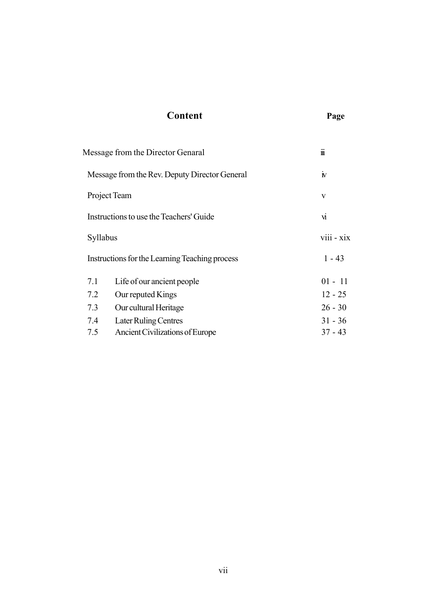## Message from the Director Genaral iii Message from the Rev. Deputy Director General iv Project Team v Instructions to use the Teachers' Guide Syllabus viii - xix Instructions for the Learning Teaching process 1 - 43 7.1 Life of our ancient people 01 - 11 7.2 Our reputed Kings 12 - 25 7.3 Our cultural Heritage 26 - 30 7.4 Later Ruling Centres 31 - 36 7.5 Ancient Civilizations of Europe 37 - 43

**Content Page**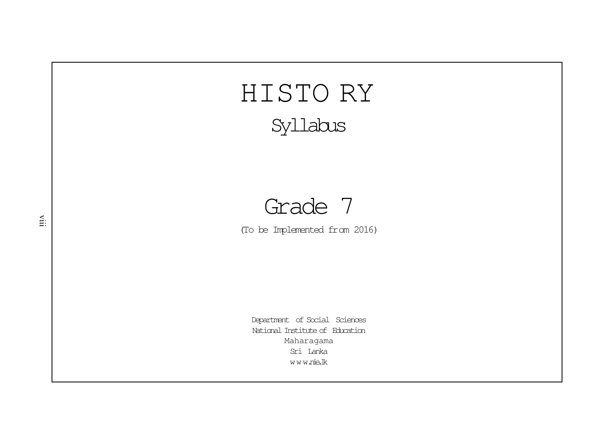# HISTO RY Syllabus

## Grade 7

(To be Implemented from 2016)

Department of Social Sciences National Institute of EducationMaharagama Sri Lankawww.nie.lk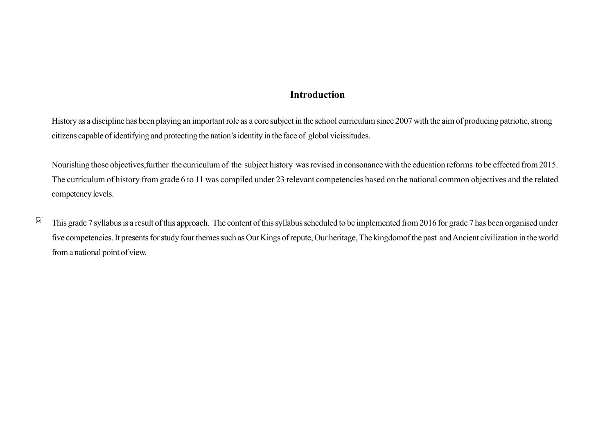#### **Introduction**

History as a discipline has been playing an important role as a core subject in the school curriculum since 2007 with the aim of producing patriotic, strongcitizens capable of identifying and protecting the nation's identity in the face of global vicissitudes.

Nourishing those objectives,further the curriculum of the subject history was revised in consonance with the education reforms to be effected from 2015.The curriculum of history from grade 6 to 11 was compiled under 23 relevant competencies based on the national common objectives and the relatedcompetency levels.

ix This grade 7 syllabus is a result of this approach. The content of this syllabus scheduled to be implemented from 2016 for grade 7 has been organised underfive competencies. It presents for study four themes such as Our Kings of repute, Our heritage, The kingdomof the past and Ancient civilization in the worldfrom a national point of view.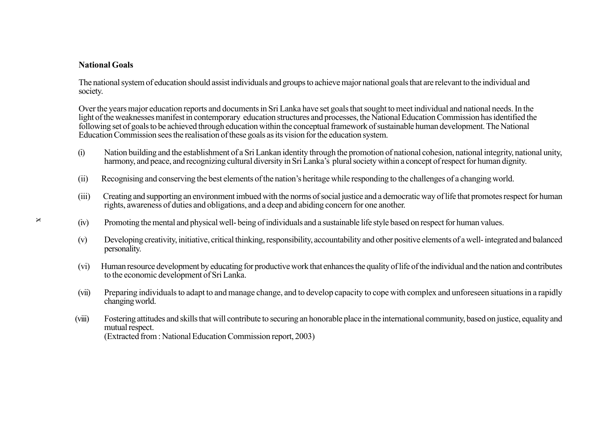#### **National Goals**

The national system of education should assist individuals and groups to achieve major national goals that are relevant to the individual andsociety.

Over the years major education reports and documents in Sri Lanka have set goals that sought to meet individual and national needs. In the light of the weaknesses manifest in contemporary education structures and processes, the National Education Commission has identified thefollowing set of goals to be achieved through education within the conceptual framework of sustainable human development. The NationalEducation Commission sees the realisation of these goals as its vision for the education system.

- (i) Nation building and the establishment of a Sri Lankan identity through the promotion of national cohesion, national integrity, national unity, harmony, and peace, and recognizing cultural diversity in Sri Lanka's plural society within a concept of respect for human dignity.
- (ii) Recognising and conserving the best elements of the nation's heritage while responding to the challenges of a changing world.
- (iii) Creating and supporting an environment imbued with the norms of social justice and a democratic way of life that promotes respect for humanrights, awareness of duties and obligations, and a deep and abiding concern for one another.
- (iv)Promoting the mental and physical well- being of individuals and a sustainable life style based on respect for human values.
- (v) Developing creativity, initiative, critical thinking, responsibility, accountability and other positive elements of a well- integrated and balancedpersonality.
- (vi) Human resource development by educating for productive work that enhances the quality of life of the individual and the nation and contributesto the economic development of Sri Lanka.
- (vii) Preparing individuals to adapt to and manage change, and to develop capacity to cope with complex and unforeseen situations in a rapidlychanging world.
- (viii) Fostering attitudes and skills that will contribute to securing an honorable place in the international community, based on justice, equality andmutual respect.(Extracted from : National Education Commission report, 2003)

x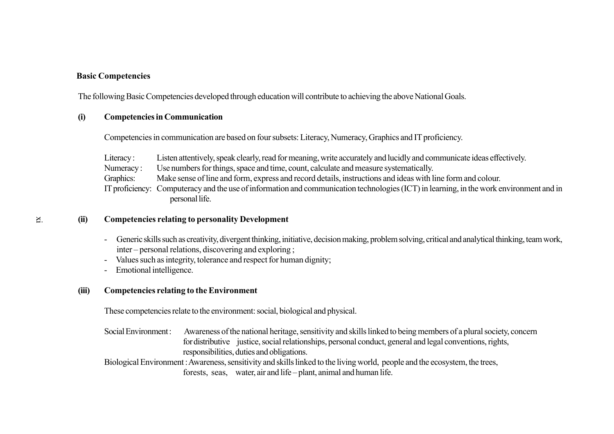#### **Basic Competencies**

The following Basic Competencies developed through education will contribute to achieving the above National Goals.

#### **(i)Competencies in Communication**

Competencies in communication are based on four subsets: Literacy, Numeracy, Graphics and IT proficiency.

Literacy: Listen attentively, speak clearly, read for meaning, write accurately and lucidly and communicate ideas effectively.

Numeracy :Use numbers for things, space and time, count, calculate and measure systematically.

Graphics:Make sense of line and form, express and record details, instructions and ideas with line form and colour.

IT proficiency: Computeracy and the use of information and communication technologies (ICT) in learning, in the work environment and inpersonal life.

#### **(ii)Competencies relating to personality Development**

- Generic skills such as creativity, divergent thinking, initiative, decision making, problem solving, critical and analytical thinking, team work,inter – personal relations, discovering and exploring ;
- Values such as integrity, tolerance and respect for human dignity;
- Emotional intelligence.

#### **(iii)Competencies relating to the Environment**

These competencies relate to the environment: social, biological and physical.

Social Environment : Awareness of the national heritage, sensitivity and skills linked to being members of a plural society, concern for distributive justice, social relationships, personal conduct, general and legal conventions, rights, responsibilities, duties and obligations.

Biological Environment : Awareness, sensitivity and skills linked to the living world, people and the ecosystem, the trees,forests, seas, water, air and life – plant, animal and human life.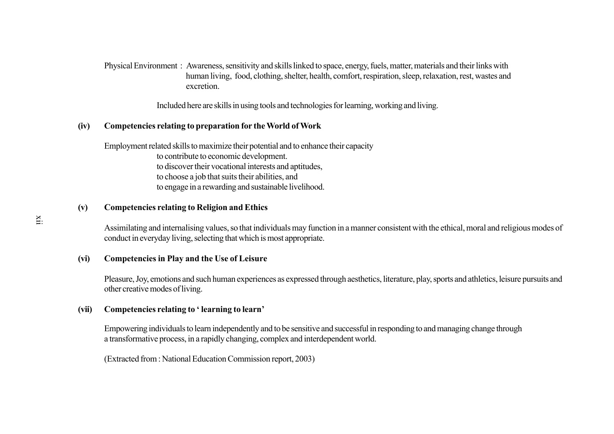Physical Environment : Awareness, sensitivity and skills linked to space, energy, fuels, matter, materials and their links with human living, food, clothing, shelter, health, comfort, respiration, sleep, relaxation, rest, wastes andexcretion.

Included here are skills in using tools and technologies for learning, working and living.

#### **(iv)Competencies relating to preparation for the World of Work**

Employment related skills to maximize their potential and to enhance their capacityto contribute to economic development. to discover their vocational interests and aptitudes,to choose a job that suits their abilities, andto engage in a rewarding and sustainable livelihood.

#### **(v)Competencies relating to Religion and Ethics**

Assimilating and internalising values, so that individuals may function in a manner consistent with the ethical, moral and religious modes ofconduct in everyday living, selecting that which is most appropriate.

#### **(vi)Competencies in Play and the Use of Leisure**

Pleasure, Joy, emotions and such human experiences as expressed through aesthetics, literature, play, sports and athletics, leisure pursuits andother creative modes of living.

#### **(vii)Competencies relating to ' learning to learn'**

Empowering individuals to learn independently and to be sensitive and successful in responding to and managing change througha transformative process, in a rapidly changing, complex and interdependent world.

(Extracted from : National Education Commission report, 2003)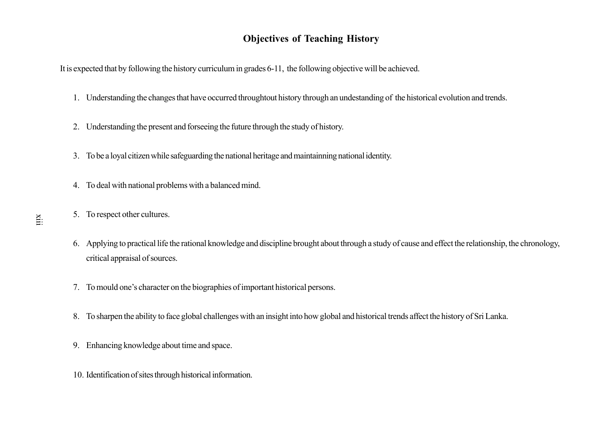## **Objectives of Teaching History**

It is expected that by following the history curriculum in grades 6-11, the following objective will be achieved.

- 1. Understanding the changes that have occurred throughtout history through an undestanding of the historical evolution and trends.
- 2. Understanding the present and forseeing the future through the study of history.
- 3. To be a loyal citizen while safeguarding the national heritage and maintainning national identity.
- 4. To deal with national problems with a balanced mind.
- 5. To respect other cultures.
- 6. Applying to practical life the rational knowledge and discipline brought about through a study of cause and effect the relationship, the chronology, critical appraisal of sources.
- 7. To mould one's character on the biographies of important historical persons.
- 8. To sharpen the ability to face global challenges with an insight into how global and historical trends affect the history of Sri Lanka.
- 9. Enhancing knowledge about time and space.
- 10. Identification of sites through historical information.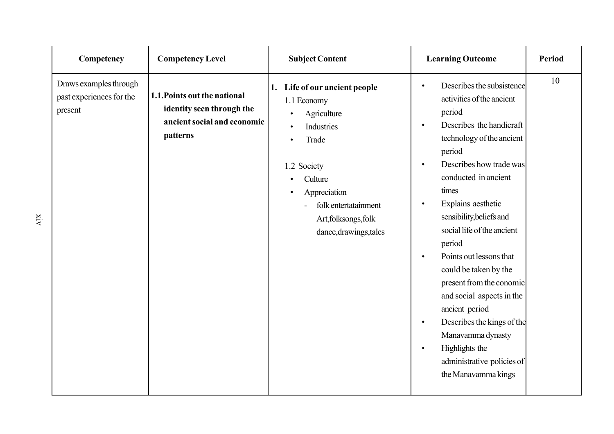| Competency                                                    | <b>Competency Level</b>                                                                              | <b>Subject Content</b>                                                                                                                                                                                    | <b>Learning Outcome</b>                                                                                                                                                                                                                                                                                                                                                                                                                                                                                                                                                                                                                       | <b>Period</b> |
|---------------------------------------------------------------|------------------------------------------------------------------------------------------------------|-----------------------------------------------------------------------------------------------------------------------------------------------------------------------------------------------------------|-----------------------------------------------------------------------------------------------------------------------------------------------------------------------------------------------------------------------------------------------------------------------------------------------------------------------------------------------------------------------------------------------------------------------------------------------------------------------------------------------------------------------------------------------------------------------------------------------------------------------------------------------|---------------|
| Draws examples through<br>past experiences for the<br>present | 1.1. Points out the national<br>identity seen through the<br>ancient social and economic<br>patterns | Life of our ancient people<br>1.<br>1.1 Economy<br>Agriculture<br>Industries<br>Trade<br>1.2 Society<br>Culture<br>Appreciation<br>folk entertatainment<br>Art, folksongs, folk<br>dance, drawings, tales | Describes the subsistence<br>$\bullet$<br>activities of the ancient<br>period<br>Describes the handicraft<br>$\bullet$<br>technology of the ancient<br>period<br>Describes how trade was<br>$\bullet$<br>conducted in ancient<br>times<br>Explains aesthetic<br>$\bullet$<br>sensibility, beliefs and<br>social life of the ancient<br>period<br>Points out lessons that<br>$\bullet$<br>could be taken by the<br>present from the conomic<br>and social aspects in the<br>ancient period<br>Describes the kings of the<br>$\bullet$<br>Manavamma dynasty<br>Highlights the<br>$\bullet$<br>administrative policies of<br>the Manavamma kings | 10            |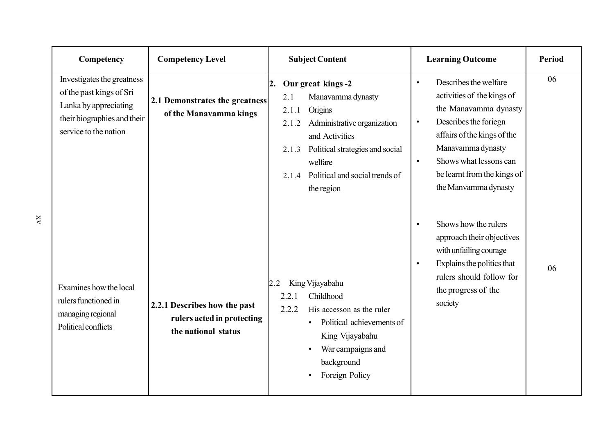| Competency                                                                                                                              | <b>Competency Level</b>                                                           | <b>Subject Content</b>                                                                                                                                                                                                                          | <b>Learning Outcome</b>                                                                                                                                                                                                                                                           | <b>Period</b> |
|-----------------------------------------------------------------------------------------------------------------------------------------|-----------------------------------------------------------------------------------|-------------------------------------------------------------------------------------------------------------------------------------------------------------------------------------------------------------------------------------------------|-----------------------------------------------------------------------------------------------------------------------------------------------------------------------------------------------------------------------------------------------------------------------------------|---------------|
| Investigates the greatness<br>of the past kings of Sri<br>Lanka by appreciating<br>their biographies and their<br>service to the nation | 2.1 Demonstrates the greatness<br>of the Manavamma kings                          | Our great kings -2<br>2.<br>Manavamma dynasty<br>2.1<br>Origins<br>2.1.1<br>Administrative organization<br>2.1.2<br>and Activities<br>Political strategies and social<br>2.1.3<br>welfare<br>2.1.4 Political and social trends of<br>the region | Describes the welfare<br>$\bullet$<br>activities of the kings of<br>the Manavamma dynasty<br>Describes the foriegn<br>$\bullet$<br>affairs of the kings of the<br>Manavamma dynasty<br>Shows what lessons can<br>$\bullet$<br>be learnt from the kings of<br>the Manvamma dynasty | 06            |
| Examines how the local<br>rulers functioned in<br>managing regional<br>Political conflicts                                              | 2.2.1 Describes how the past<br>rulers acted in protecting<br>the national status | King Vijayabahu<br>2.2<br>Childhood<br>2.2.1<br>2.2.2<br>His accesson as the ruler<br>Political achievements of<br>King Vijayabahu<br>War campaigns and<br>$\bullet$<br>background<br>Foreign Policy<br>$\bullet$                               | Shows how the rulers<br>$\bullet$<br>approach their objectives<br>with unfailing courage<br>Explains the politics that<br>$\bullet$<br>rulers should follow for<br>the progress of the<br>society                                                                                 | 06            |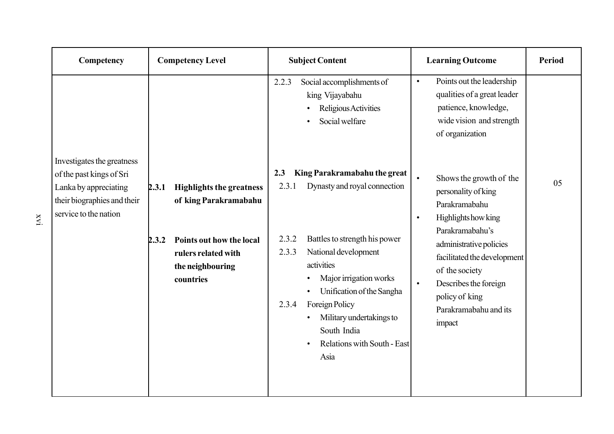| Competency                                                                                                |                | <b>Competency Level</b>                                                                                                                      |                                         | <b>Subject Content</b>                                                                                                                                                                                                                                                                                | <b>Learning Outcome</b>                                                                                                                                                                                                                                                                                    | <b>Period</b> |
|-----------------------------------------------------------------------------------------------------------|----------------|----------------------------------------------------------------------------------------------------------------------------------------------|-----------------------------------------|-------------------------------------------------------------------------------------------------------------------------------------------------------------------------------------------------------------------------------------------------------------------------------------------------------|------------------------------------------------------------------------------------------------------------------------------------------------------------------------------------------------------------------------------------------------------------------------------------------------------------|---------------|
| Investigates the greatness                                                                                |                |                                                                                                                                              | 2.2.3                                   | Social accomplishments of<br>king Vijayabahu<br>Religious Activities<br>Social welfare                                                                                                                                                                                                                | Points out the leadership<br>$\bullet$<br>qualities of a great leader<br>patience, knowledge,<br>wide vision and strength<br>of organization                                                                                                                                                               |               |
| of the past kings of Sri<br>Lanka by appreciating<br>their biographies and their<br>service to the nation | 2.3.1<br>2.3.2 | <b>Highlights the greatness</b><br>of king Parakramabahu<br>Points out how the local<br>rulers related with<br>the neighbouring<br>countries | 2.3<br>2.3.1<br>2.3.2<br>2.3.3<br>2.3.4 | King Parakramabahu the great<br>Dynasty and royal connection<br>Battles to strength his power<br>National development<br>activities<br>Major irrigation works<br>Unification of the Sangha<br>Foreign Policy<br>Military undertakings to<br>South India<br><b>Relations with South - East</b><br>Asia | Shows the growth of the<br>$\bullet$<br>personality of king<br>Parakramabahu<br>Highlights how king<br>$\bullet$<br>Parakramabahu's<br>administrative policies<br>facilitated the development<br>of the society<br>Describes the foreign<br>$\bullet$<br>policy of king<br>Parakramabahu and its<br>impact | 05            |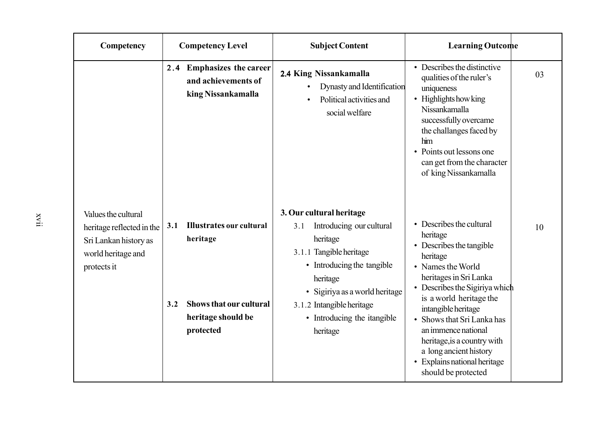| Competency                                                                                                     | <b>Competency Level</b> |                                                                                                                  | <b>Subject Content</b>                                                                                                                                                                                                                                 | <b>Learning Outcome</b>                                                                                                                                                                                                                                                                                                                                                                    |  |
|----------------------------------------------------------------------------------------------------------------|-------------------------|------------------------------------------------------------------------------------------------------------------|--------------------------------------------------------------------------------------------------------------------------------------------------------------------------------------------------------------------------------------------------------|--------------------------------------------------------------------------------------------------------------------------------------------------------------------------------------------------------------------------------------------------------------------------------------------------------------------------------------------------------------------------------------------|--|
|                                                                                                                |                         | 2.4 Emphasizes the career<br>and achievements of<br>king Nissankamalla                                           | 2.4 King Nissankamalla<br>Dynasty and Identification<br>Political activities and<br>social welfare                                                                                                                                                     | • Describes the distinctive<br>03<br>qualities of the ruler's<br>uniqueness<br>• Highlights how king<br>Nissankamalla<br>successfully overcame<br>the challanges faced by<br>him<br>• Points out lessons one<br>can get from the character<br>of king Nissankamalla                                                                                                                        |  |
| Values the cultural<br>heritage reflected in the<br>Sri Lankan history as<br>world heritage and<br>protects it | 3.1<br>3.2              | <b>Illustrates our cultural</b><br>heritage<br><b>Shows that our cultural</b><br>heritage should be<br>protected | 3. Our cultural heritage<br>Introducing our cultural<br>3.1<br>heritage<br>3.1.1 Tangible heritage<br>• Introducing the tangible<br>heritage<br>• Sigiriya as a world heritage<br>3.1.2 Intangible heritage<br>• Introducing the itangible<br>heritage | • Describes the cultural<br>10<br>heritage<br>• Describes the tangible<br>heritage<br>• Names the World<br>heritages in Sri Lanka<br>• Describes the Sigiriya which<br>is a world heritage the<br>intangible heritage<br>• Shows that Sri Lanka has<br>an immence national<br>heritage, is a country with<br>a long ancient history<br>• Explains national heritage<br>should be protected |  |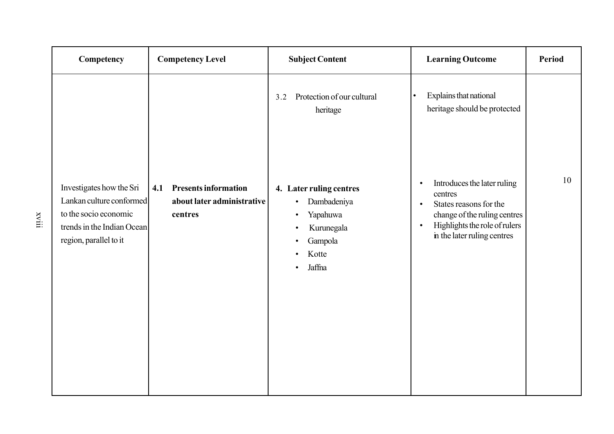| Competency                                                                                                                            | <b>Competency Level</b>                                                     | <b>Subject Content</b>                                                                                                                                               | <b>Learning Outcome</b>                                                                                                                                                                                 | <b>Period</b> |
|---------------------------------------------------------------------------------------------------------------------------------------|-----------------------------------------------------------------------------|----------------------------------------------------------------------------------------------------------------------------------------------------------------------|---------------------------------------------------------------------------------------------------------------------------------------------------------------------------------------------------------|---------------|
|                                                                                                                                       |                                                                             | Protection of our cultural<br>3.2<br>heritage                                                                                                                        | Explains that national<br>$\bullet$<br>heritage should be protected                                                                                                                                     |               |
| Investigates how the Sri<br>Lankan culture conformed<br>to the socio economic<br>trends in the Indian Ocean<br>region, parallel to it | <b>Presents information</b><br>4.1<br>about later administrative<br>centres | 4. Later ruling centres<br>Dambadeniya<br>$\bullet$<br>Yapahuwa<br>$\bullet$<br>Kurunegala<br>$\bullet$<br>Gampola<br>٠<br>Kotte<br>$\bullet$<br>Jaffna<br>$\bullet$ | Introduces the later ruling<br>$\bullet$<br>centres<br>States reasons for the<br>$\bullet$<br>change of the ruling centres<br>Highlights the role of rulers<br>$\bullet$<br>in the later ruling centres | 10            |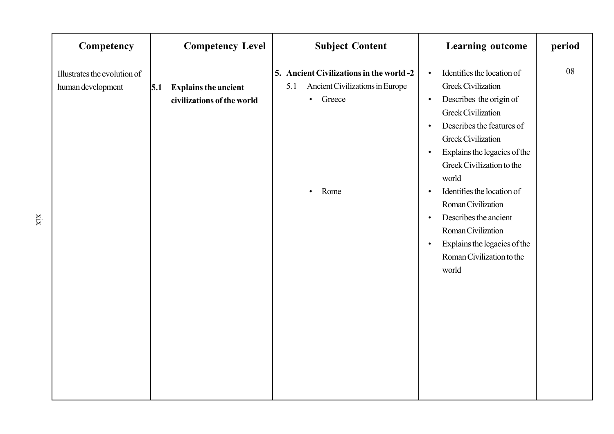| Competency                                        |     | <b>Competency Level</b>                                   | <b>Subject Content</b>                                                                                              | <b>Learning outcome</b>                                                                                                                                                                                                                                                                                                                                                                                                                                                                         | period |
|---------------------------------------------------|-----|-----------------------------------------------------------|---------------------------------------------------------------------------------------------------------------------|-------------------------------------------------------------------------------------------------------------------------------------------------------------------------------------------------------------------------------------------------------------------------------------------------------------------------------------------------------------------------------------------------------------------------------------------------------------------------------------------------|--------|
| Illustrates the evolution of<br>human development | 5.1 | <b>Explains the ancient</b><br>civilizations of the world | 5. Ancient Civilizations in the world -2<br>Ancient Civilizations in Europe<br>5.1<br>• Greece<br>Rome<br>$\bullet$ | Identifies the location of<br>$\bullet$<br><b>Greek Civilization</b><br>Describes the origin of<br>$\bullet$<br><b>Greek Civilization</b><br>Describes the features of<br>Greek Civilization<br>Explains the legacies of the<br>$\bullet$<br>Greek Civilization to the<br>world<br>Identifies the location of<br>$\bullet$<br>Roman Civilization<br>Describes the ancient<br>$\bullet$<br>Roman Civilization<br>Explains the legacies of the<br>$\bullet$<br>Roman Civilization to the<br>world | 08     |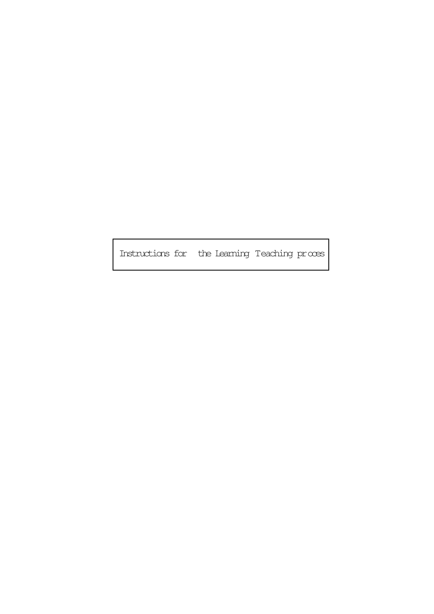Instructions for the Learning Teaching proces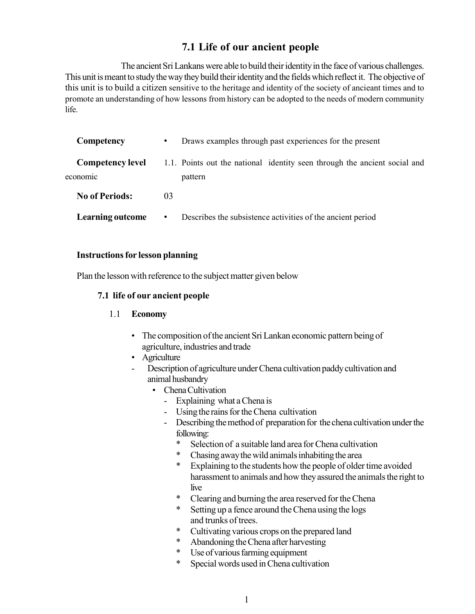### **7.1 Life of our ancient people**

The ancient Sri Lankans were able to build their identity in the face of various challenges. This unit is meant to study the way they build their identity and the fields which reflect it. The objective of this unit is to build a citizen sensitive to the heritage and identity of the society of ancieant times and to promote an understanding of how lessons from history can be adopted to the needs of modern community life.

| Competency                          | Draws examples through past experiences for the present                              |  |  |
|-------------------------------------|--------------------------------------------------------------------------------------|--|--|
| <b>Competency level</b><br>economic | 1.1. Points out the national identity seen through the ancient social and<br>pattern |  |  |
| <b>No of Periods:</b>               | 0 <sup>3</sup>                                                                       |  |  |
| <b>Learning outcome</b>             | Describes the subsistence activities of the ancient period<br>$\bullet$              |  |  |

#### **Instructions for lesson planning**

Plan the lesson with reference to the subject matter given below

#### **7.1 life of our ancient people**

#### 1.1 **Economy**

- The composition of the ancient Sri Lankan economic pattern being of agriculture, industries and trade
- Agriculture
- Description of agriculture under Chena cultivation paddy cultivation and animal husbandry
	- Chena Cultivation
		- Explaining what a Chena is
		- Using the rains for the Chena cultivation
		- Describing the method of preparation for the chena cultivation under the following:
			- Selection of a suitable land area for Chena cultivation
			- \* Chasing away the wild animals inhabiting the area
			- Explaining to the students how the people of older time avoided harassment to animals and how they assured the animals the right to live
			- \* Clearing and burning the area reserved for the Chena
			- \* Setting up a fence around the Chena using the logs and trunks of trees.
			- \* Cultivating various crops on the prepared land
			- \* Abandoning the Chena after harvesting
			- \* Use of various farming equipment
			- \* Special words used in Chena cultivation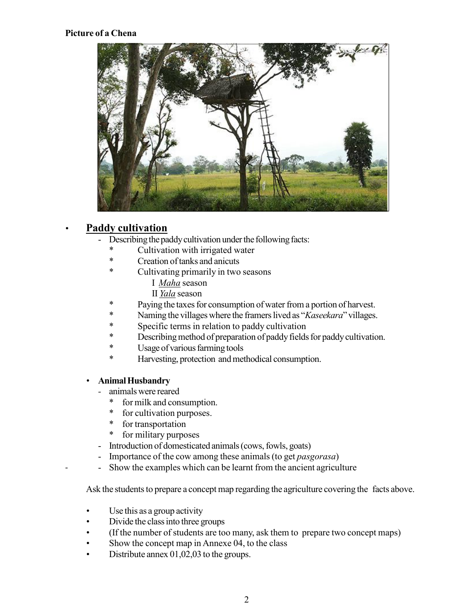#### **Picture of a Chena**



#### *•* **Paddy cultivation**

- Describing the paddy cultivation under the following facts:
	- \* Cultivation with irrigated water<br>\* Creation of tanks and anicuts
	- \* Creation of tanks and anicuts<br>\* Cultivating primarily in two
	- Cultivating primarily in two seasons
		- I *Maha* season
		- II *Yala* season
	- \* Paying the taxes for consumption of water from a portion of harvest.
	- \* Naming the villages where the framers lived as "*Kaseekara*" villages.
	- Specific terms in relation to paddy cultivation
	- \* Describing method of preparation of paddy fields for paddy cultivation.
	- \* Usage of various farming tools<br>\* Harvesting protection and met
	- Harvesting, protection and methodical consumption.

#### *•* **Animal Husbandry**

- *-* animals were reared
	- \* for milk and consumption.
	- \* for cultivation purposes.
	- \* for transportation
	- \* for military purposes
- Introduction of domesticated animals (cows, fowls, goats)
- Importance of the cow among these animals (to get *pasgorasa*)
- Show the examples which can be learnt from the ancient agriculture

Ask the students to prepare a concept map regarding the agriculture covering the facts above.

- *•* Use this as a group activity
- Divide the class into three groups
- *•* (If the number of students are too many, ask them to prepare two concept maps)
- Show the concept map in Annexe 04, to the class
- Distribute annex 01,02,03 to the groups.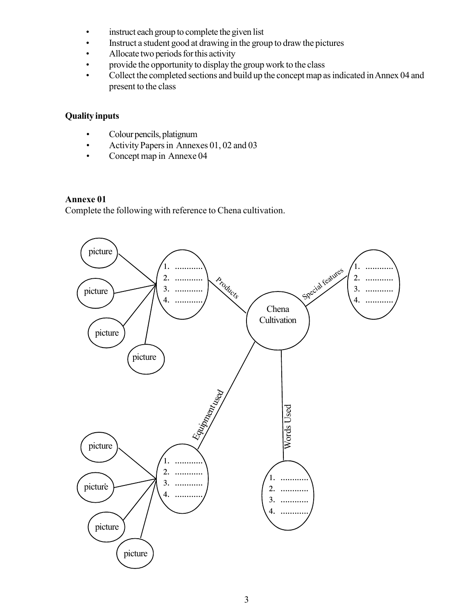- instruct each group to complete the given list
- Instruct a student good at drawing in the group to draw the pictures
- Allocate two periods for this activity
- provide the opportunity to display the group work to the class
- Collect the completed sections and build up the concept map as indicated in Annex 04 and present to the class

#### **Quality inputs**

- *•* Colour pencils, platignum
- *•* Activity Papers in Annexes 01, 02 and 03
- *•* Concept map in Annexe 04

#### **Annexe 01**

Complete the following with reference to Chena cultivation.

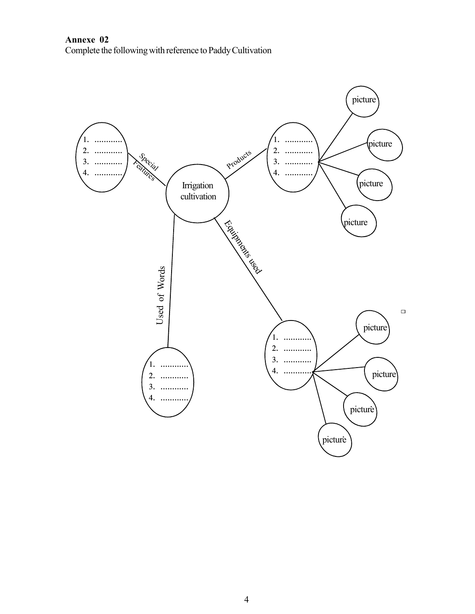**Annexe 02** Complete the following with reference to Paddy Cultivation

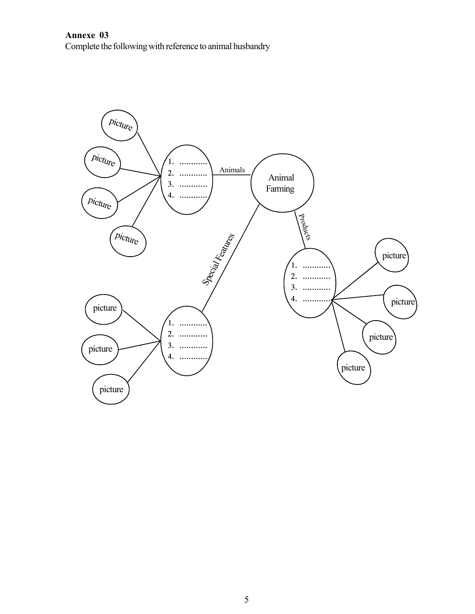**Annexe 03** Complete the following with reference to animal husbandry

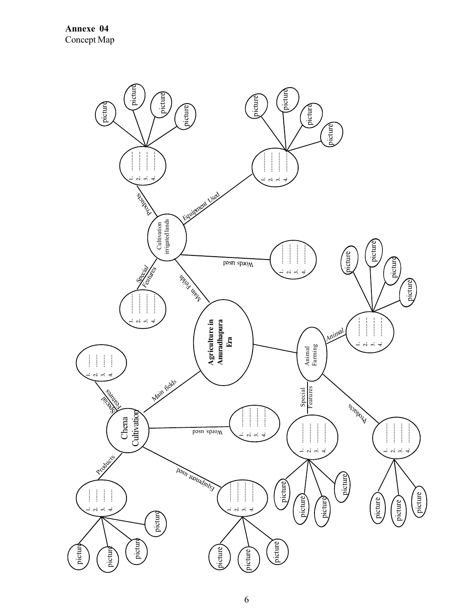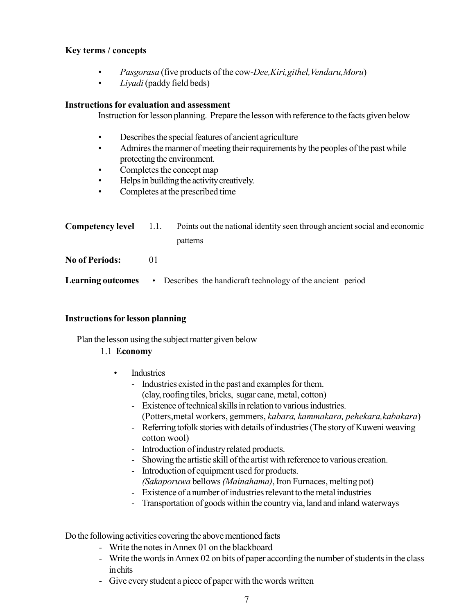#### **Key terms / concepts**

- *• Pasgorasa* (five products of the cow-*Dee,Kiri,githel,Vendaru,Moru*)
- *• Liyadi* (paddy field beds)

#### **Instructions for evaluation and assessment**

Instruction for lesson planning. Prepare the lesson with reference to the facts given below

- *•* Describes the special features of ancient agriculture
- *•* Admires the manner of meeting their requirements by the peoples of the past while protecting the environment.
- *•* Completes the concept map
- *•* Helps in building the activity creatively.
- *•* Completes at the prescribed time

| $Competency$ level $1.1$ . | Points out the national identity seen through ancient social and economic |
|----------------------------|---------------------------------------------------------------------------|
|                            | patterns                                                                  |
|                            |                                                                           |

- **No of Periods:** 01
- **Learning outcomes** Describes the handicraft technology of the ancient period

#### **Instructions for lesson planning**

Plan the lesson using the subject matter given below

#### 1.1 **Economy**

- Industries
	- Industries existed in the past and examples for them. (clay, roofing tiles, bricks, sugar cane, metal, cotton)
	- Existence of technical skills in relation to various industries. (Potters,metal workers, gemmers, *kabara, kammakara, pehekara,kabakara*)
	- Referring tofolk stories with details of industries (The story of Kuweni weaving cotton wool)
	- Introduction of industry related products.
	- Showing the artistic skill of the artist with reference to various creation.
	- Introduction of equipment used for products. *(Sakaporuwa* bellows *(Mainahama)*, Iron Furnaces, melting pot)
	- Existence of a number of industries relevant to the metal industries
	- Transportation of goods within the country via, land and inland waterways

Do the following activities covering the above mentioned facts

- Write the notes in Annex 01 on the blackboard
- Write the words in Annex 02 on bits of paper according the number of students in the class in chits
- Give every student a piece of paper with the words written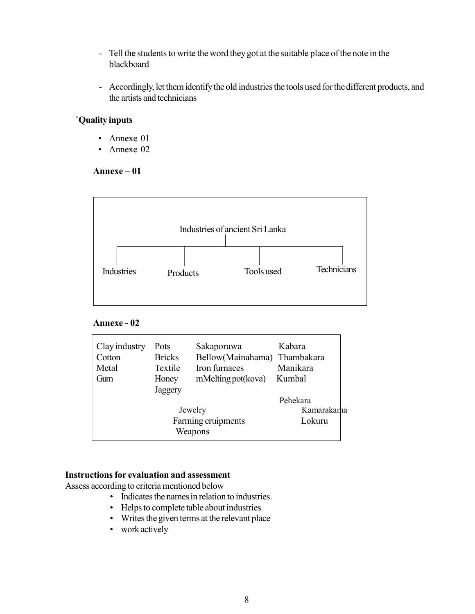- Tell the students to write the word they got at the suitable place of the note in the blackboard
- Accordingly, let them identify the old industries the tools used for the different products, and the artists and technicians

#### **`Quality inputs**

- *•* Annexe 01
- *•* Annexe 02

#### **Annexe – 01**



#### **Annexe - 02**

| Clay industry<br>Cotton<br>Metal<br>Gum | Pots<br><b>Bricks</b><br>Textile<br>Honey<br>Jaggery | Sakaporuwa<br>Bellow(Mainahama) Thambakara<br>Iron furnaces<br>mMelting pot (kova) | Kabara<br>Manikara<br>Kumbal     |
|-----------------------------------------|------------------------------------------------------|------------------------------------------------------------------------------------|----------------------------------|
|                                         |                                                      | Jewelry<br>Farming eruipments<br>Weapons                                           | Pehekara<br>Kamarakama<br>Lokuru |

#### **Instructions for evaluation and assessment**

Assess according to criteria mentioned below

- *•* Indicates the names in relation to industries.
- *•* Helps to complete table about industries
- *•* Writes the given terms at the relevant place
- *•* work actively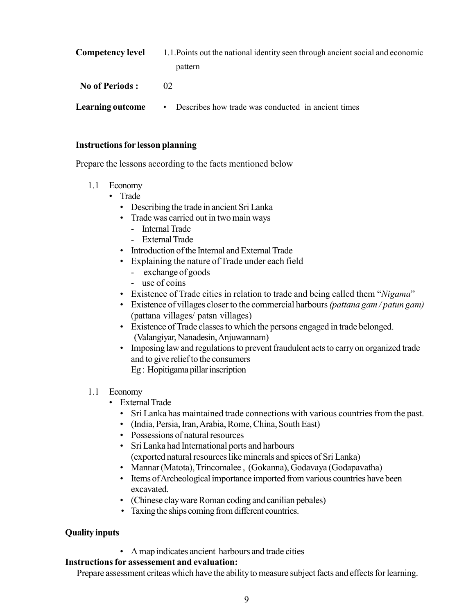| <b>Competency level</b> | 1.1. Points out the national identity seen through ancient social and economic |  |  |
|-------------------------|--------------------------------------------------------------------------------|--|--|
|                         | pattern                                                                        |  |  |
| <b>No of Periods:</b>   | 02                                                                             |  |  |
| <b>Learning outcome</b> | Describes how trade was conducted in ancient times<br>$\bullet$                |  |  |

#### **Instructions for lesson planning**

Prepare the lessons according to the facts mentioned below

- 1.1 Economy
	- Trade
		- Describing the trade in ancient Sri Lanka
		- Trade was carried out in two main ways
			- Internal Trade
			- External Trade
		- Introduction of the Internal and External Trade
		- Explaining the nature of Trade under each field
			- exchange of goods
			- use of coins
		- Existence of Trade cities in relation to trade and being called them "*Nigama*"
		- Existence of villages closer to the commercial harbours *(pattana gam / patun gam)* (pattana villages/ patsn villages)
		- Existence of Trade classes to which the persons engaged in trade belonged. (Valangiyar, Nanadesin, Anjuwannam)
		- Imposing law and regulations to prevent fraudulent acts to carry on organized trade and to give relief to the consumers Eg : Hopitigama pillar inscription
- 1.1 Economy
	- External Trade
		- Sri Lanka has maintained trade connections with various countries from the past.
		- (India, Persia, Iran, Arabia, Rome, China, South East)
		- Possessions of natural resources
		- Sri Lanka had International ports and harbours (exported natural resources like minerals and spices of Sri Lanka)
		- Mannar (Matota), Trincomalee , (Gokanna), Godavaya (Godapavatha)
		- Items of Archeological importance imported from various countries have been excavated.
		- (Chinese clay ware Roman coding and canilian pebales)
		- Taxing the ships coming from different countries.

#### **Quality inputs**

• A map indicates ancient harbours and trade cities

#### **Instructions for assessement and evaluation:**

Prepare assessment criteas which have the ability to measure subject facts and effects for learning.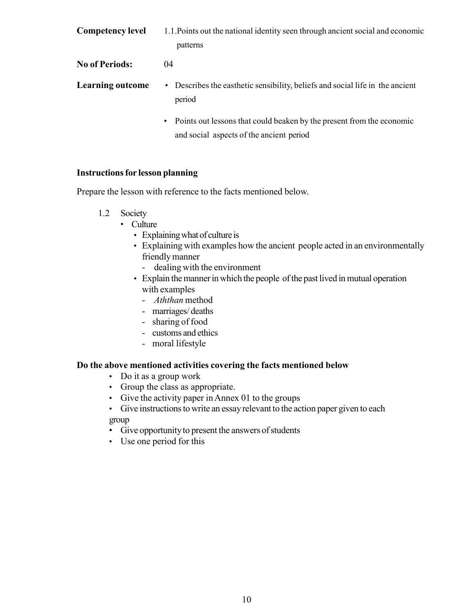| <b>Competency level</b> | 1.1. Points out the national identity seen through ancient social and economic<br>patterns |
|-------------------------|--------------------------------------------------------------------------------------------|
| <b>No of Periods:</b>   | 04                                                                                         |
| <b>Learning outcome</b> | • Describes the easthetic sensibility, beliefs and social life in the ancient<br>period    |

• Points out lessons that could beaken by the present from the economic and social aspects of the ancient period

#### **Instructions for lesson planning**

Prepare the lesson with reference to the facts mentioned below.

- 1.2 Society
	- Culture
		- Explaining what of culture is
		- Explaining with examples how the ancient people acted in an environmentally friendly manner
			- dealing with the environment
		- Explain the manner in which the people of the past lived in mutual operation with examples
			- *Aththan* method
			- marriages/ deaths
			- sharing of food
			- customs and ethics
			- moral lifestyle

#### **Do the above mentioned activities covering the facts mentioned below**

- Do it as a group work
- Group the class as appropriate.
- Give the activity paper in Annex 01 to the groups
- Give instructions to write an essay relevant to the action paper given to each group
- Give opportunity to present the answers of students
- Use one period for this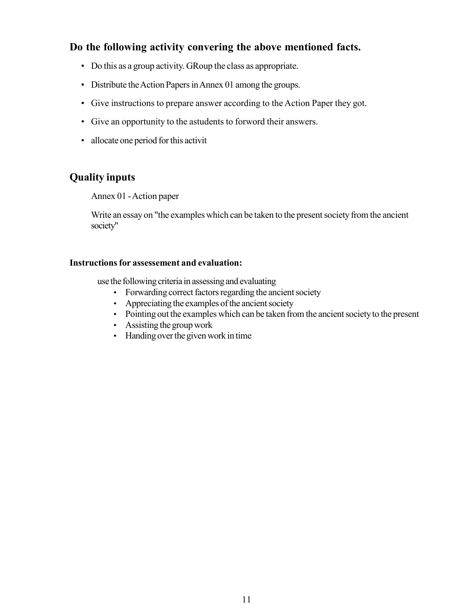#### **Do the following activity convering the above mentioned facts.**

- Do this as a group activity. GRoup the class as appropriate.
- Distribute the Action Papers in Annex 01 among the groups.
- Give instructions to prepare answer according to the Action Paper they got.
- Give an opportunity to the astudents to forword their answers.
- allocate one period for this activit

#### **Quality inputs**

Annex 01 - Action paper

Write an essay on "the examples which can be taken to the present society from the ancient society"

#### **Instructions for assessement and evaluation:**

use the following criteria in assessing and evaluating

- Forwarding correct factors regarding the ancient society
- Appreciating the examples of the ancient society
- Pointing out the examples which can be taken from the ancient society to the present
- Assisting the group work
- Handing over the given work in time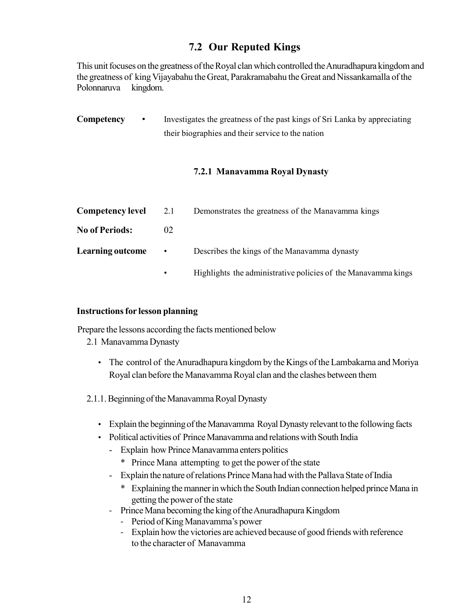### **7.2 Our Reputed Kings**

This unit focuses on the greatness of the Royal clan which controlled the Anuradhapura kingdom and the greatness of king Vijayabahu the Great, Parakramabahu the Great and Nissankamalla of the Polonnaruva kingdom.

**Competency** • Investigates the greatness of the past kings of Sri Lanka by appreciating their biographies and their service to the nation

#### **7.2.1 Manavamma Royal Dynasty**

| <b>Competency level</b> | 2.1             | Demonstrates the greatness of the Manavamma kings |
|-------------------------|-----------------|---------------------------------------------------|
| <b>No of Periods:</b>   | 02 <sub>1</sub> |                                                   |
| <b>Learning outcome</b> | $\bullet$       | Describes the kings of the Manavamma dynasty      |
|                         |                 |                                                   |

• Highlights the administrative policies of the Manavamma kings

#### **Instructions for lesson planning**

Prepare the lessons according the facts mentioned below

2.1 Manavamma Dynasty

- The control of the Anuradhapura kingdom by the Kings of the Lambakarna and Moriya Royal clan before the Manavamma Royal clan and the clashes between them
- 2.1.1. Beginning of the Manavamma Royal Dynasty
	- Explain the beginning of the Manavamma Royal Dynasty relevant to the following facts
	- Political activities of Prince Manavamma and relations with South India
		- Explain how Prince Manavamma enters politics
			- \* Prince Mana attempting to get the power of the state
		- Explain the nature of relations Prince Mana had with the Pallava State of India
			- \* Explaining the manner in which the South Indian connection helped prince Mana in getting the power of the state
		- Prince Mana becoming the king of the Anuradhapura Kingdom
			- Period of King Manavamma's power
			- Explain how the victories are achieved because of good friends with reference to the character of Manavamma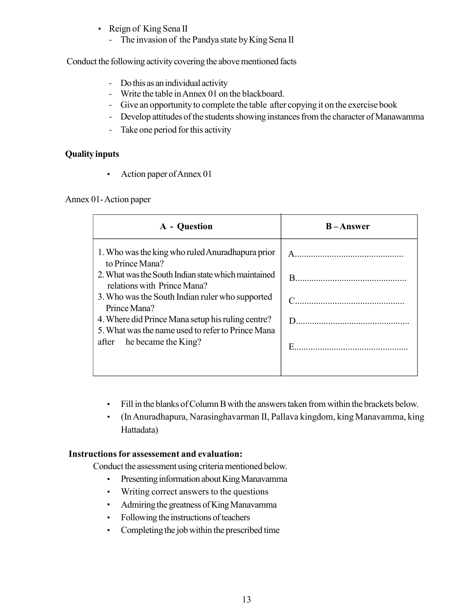- Reign of King Sena II
	- The invasion of the Pandya state by King Sena II

Conduct the following activity covering the above mentioned facts

- Do this as an individual activity
- Write the table in Annex 01 on the blackboard.
- Give an opportunity to complete the table after copying it on the exercise book
- Develop attitudes of the students showing instances from the character of Manawamma
- Take one period for this activity

#### **Quality inputs**

• Action paper of Annex 01

#### Annex 01- Action paper

| A - Question                                                                                                                                                                                                                                                                                                                                                        | $B -$ Answer |
|---------------------------------------------------------------------------------------------------------------------------------------------------------------------------------------------------------------------------------------------------------------------------------------------------------------------------------------------------------------------|--------------|
| 1. Who was the king who ruled Anuradhapura prior<br>to Prince Mana?<br>2. What was the South Indian state which maintained<br>relations with Prince Mana?<br>3. Who was the South Indian ruler who supported<br>Prince Mana?<br>4. Where did Prince Mana setup his ruling centre?<br>5. What was the name used to refer to Prince Mana<br>after he became the King? |              |

- Fill in the blanks of Column B with the answers taken from within the brackets below.
- (In Anuradhapura, Narasinghavarman II, Pallava kingdom, king Manavamma, king Hattadata)

#### **Instructions for assessement and evaluation:**

Conduct the assessment using criteria mentioned below.

- Presenting information about King Manavamma
- Writing correct answers to the questions
- Admiring the greatness of King Manavamma
- Following the instructions of teachers
- Completing the job within the prescribed time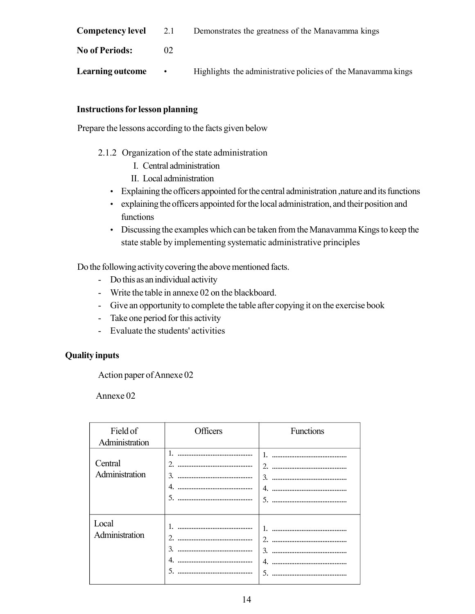| <b>Competency level</b> | 2.1 | Demonstrates the greatness of the Manavamma kings |  |
|-------------------------|-----|---------------------------------------------------|--|
|-------------------------|-----|---------------------------------------------------|--|

**No of Periods:** 02

**Learning outcome** • Highlights the administrative policies of the Manavamma kings

#### **Instructions for lesson planning**

Prepare the lessons according to the facts given below

- 2.1.2 Organization of the state administration
	- I. Central administration
	- II. Local administration
	- Explaining the officers appointed for the central administration ,nature and its functions
	- explaining the officers appointed for the local administration, and their position and functions
	- Discussing the examples which can be taken from the Manavamma Kings to keep the state stable by implementing systematic administrative principles

Do the following activity covering the above mentioned facts.

- Do this as an individual activity
- Write the table in annexe 02 on the blackboard.
- Give an opportunity to complete the table after copying it on the exercise book
- Take one period for this activity
- Evaluate the students' activities

#### **Quality inputs**

Action paper of Annexe 02

Annexe 02

| Field of<br>Administration | Officers                       | Functions                                                   |
|----------------------------|--------------------------------|-------------------------------------------------------------|
| Central<br>Administration  | 2.<br>3.<br>4.<br>5.           | 2.<br><br>3.<br><br>5.                                      |
| Local<br>Administration    | 2.<br>$\mathcal{L}$<br>.<br>5. | $\mathcal{D}_{\mathcal{L}}$<br>$\mathcal{L}$<br>4<br>5.<br> |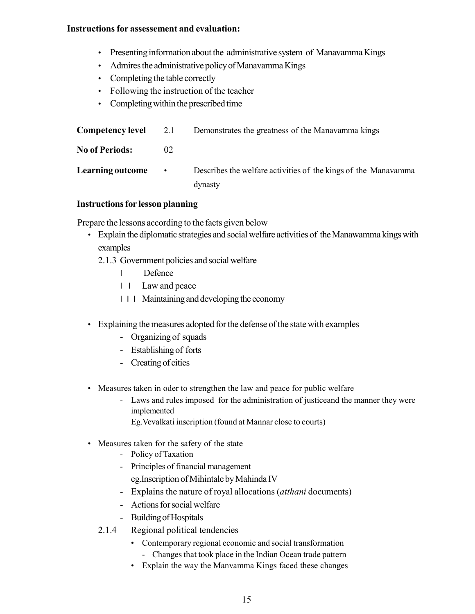#### **Instructions for assessement and evaluation:**

- Presenting information about the administrative system of Manavamma Kings
- Admires the administrative policy of Manavamma Kings
- Completing the table correctly
- Following the instruction of the teacher
- Completing within the prescribed time

| <b>Competency level</b> 2.1 |           | Demonstrates the greatness of the Manavamma kings              |
|-----------------------------|-----------|----------------------------------------------------------------|
| <b>No of Periods:</b>       | 02        |                                                                |
| <b>Learning outcome</b>     | $\bullet$ | Describes the welfare activities of the kings of the Manavamma |
|                             |           | dynasty                                                        |

#### **Instructions for lesson planning**

Prepare the lessons according to the facts given below

- Explain the diplomatic strategies and social welfare activities of the Manawamma kings with examples
	- 2.1.3 Government policies and social welfare
		- I Defence
		- I I Law and peace
		- I I I Maintaining and developing the economy
- Explaining the measures adopted for the defense of the state with examples
	- Organizing of squads
	- Establishing of forts
	- Creating of cities
- Measures taken in oder to strengthen the law and peace for public welfare
	- Laws and rules imposed for the administration of justiceand the manner they were implemented

Eg.Vevalkati inscription (found at Mannar close to courts)

- Measures taken for the safety of the state
	- Policy of Taxation
	- Principles of financial management eg.Inscription of Mihintale by Mahinda IV
	- Explains the nature of royal allocations (*atthani* documents)
	- Actions for social welfare
	- Building of Hospitals
	- 2.1.4 Regional political tendencies
		- Contemporary regional economic and social transformation
			- Changes that took place in the Indian Ocean trade pattern
		- Explain the way the Manvamma Kings faced these changes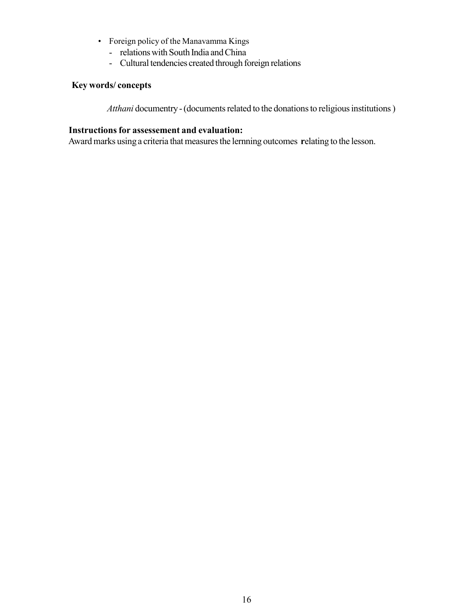- Foreign policy of the Manavamma Kings
	- relations with South India and China
	- Cultural tendencies created through foreign relations

#### **Key words/ concepts**

*Atthani* documentry - (documents related to the donations to religious institutions )

#### **Instructions for assessement and evaluation:**

Award marks using a criteria that measures the lernning outcomes **r**elating to the lesson.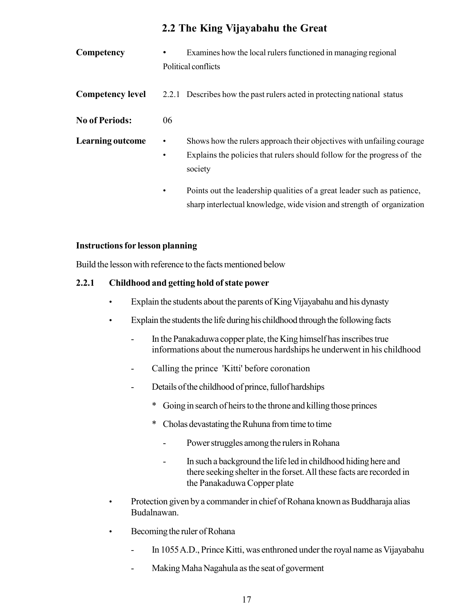### **2.2 The King Vijayabahu the Great**

**Competency** • Examines how the local rulers functioned in managing regional Political conflicts **Competency level** 2.2.1 Describes how the past rulers acted in protecting national status **No of Periods:** 06 **Learning outcome** • Shows how the rulers approach their objectives with unfailing courage • Explains the policies that rulers should follow for the progress of the society • Points out the leadership qualities of a great leader such as patience, sharp interlectual knowledge, wide vision and strength of organization

#### **Instructions for lesson planning**

Build the lesson with reference to the facts mentioned below

#### **2.2.1 Childhood and getting hold of state power**

- Explain the students about the parents of King Vijayabahu and his dynasty
- Explain the students the life during his childhood through the following facts
	- In the Panakaduwa copper plate, the King himself has inscribes true informations about the numerous hardships he underwent in his childhood
	- Calling the prince 'Kitti' before coronation
	- Details of the childhood of prince, fullof hardships
		- \* Going in search of heirs to the throne and killing those princes
		- \* Cholas devastating the Ruhuna from time to time
			- Power struggles among the rulers in Rohana
			- In such a background the life led in childhood hiding here and there seeking shelter in the forset. All these facts are recorded in the Panakaduwa Copper plate
- Protection given by a commander in chief of Rohana known as Buddharaja alias Budalnawan.
- Becoming the ruler of Rohana
	- In 1055 A.D., Prince Kitti, was enthroned under the royal name as Vijayabahu
	- Making Maha Nagahula as the seat of goverment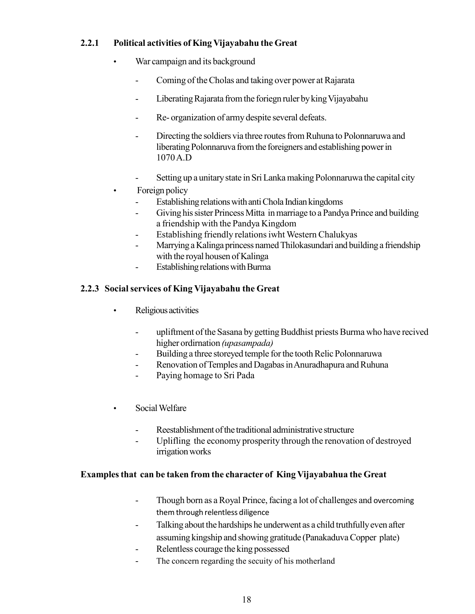#### **2.2.1 Political activities of King Vijayabahu the Great**

- War campaign and its background
	- Coming of the Cholas and taking over power at Rajarata
	- Liberating Rajarata from the foriegn ruler by king Vijayabahu
	- Re- organization of army despite several defeats.
	- Directing the soldiers via three routes from Ruhuna to Polonnaruwa and liberating Polonnaruva from the foreigners and establishing power in 1070 A.D
	- Setting up a unitary state in Sri Lanka making Polonnaruwa the capital city
- Foreign policy
	- Establishing relations with anti Chola Indian kingdoms
	- Giving his sister Princess Mitta in marriage to a Pandya Prince and building a friendship with the Pandya Kingdom
	- Establishing friendly relations iwht Western Chalukyas
	- Marrying a Kalinga princess named Thilokasundari and building a friendship with the royal housen of Kalinga
	- Establishing relations with Burma

#### **2.2.3 Social services of King Vijayabahu the Great**

- Religious activities
	- upliftment of the Sasana by getting Buddhist priests Burma who have recived higher ordirnation *(upasampada)*
	- Building a three storeyed temple for the tooth Relic Polonnaruwa
	- Renovation of Temples and Dagabas in Anuradhapura and Ruhuna
	- Paying homage to Sri Pada
- Social Welfare
	- Reestablishment of the traditional administrative structure
	- Uplifling the economy prosperity through the renovation of destroyed irrigation works

#### **Examples that can be taken from the character of King Vijayabahua the Great**

- Though born as a Royal Prince, facing a lot of challenges and overcoming them through relentless diligence
- Talking about the hardships he underwent as a child truthfully even after assuming kingship and showing gratitude (Panakaduva Copper plate)
- Relentless courage the king possessed
- The concern regarding the secuity of his motherland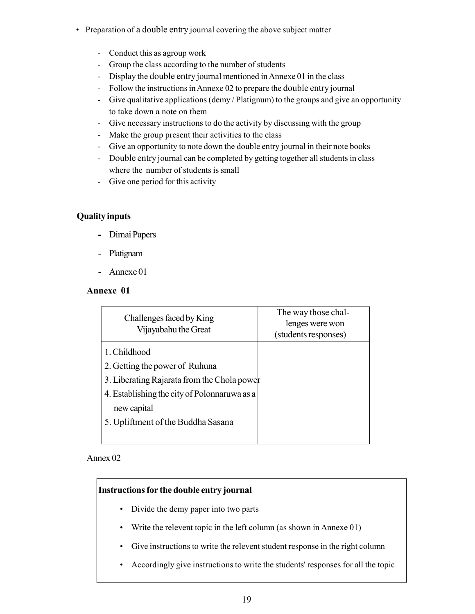- Preparation of a double entry journal covering the above subject matter
	- Conduct this as agroup work
	- Group the class according to the number of students
	- Display the double entry journal mentioned in Annexe 01 in the class
	- Follow the instructions in Annexe 02 to prepare the double entry journal
	- Give qualitative applications (demy / Platignum) to the groups and give an opportunity to take down a note on them
	- Give necessary instructions to do the activity by discussing with the group
	- Make the group present their activities to the class
	- Give an opportunity to note down the double entry journal in their note books
	- Double entry journal can be completed by getting together all students in class where the number of students is small
	- Give one period for this activity

#### **Quality inputs**

- **-** Dimai Papers
- Platignam
- Annexe 01

#### **Annexe 01**

| Challenges faced by King<br>Vijayabahu the Great | The way those chal-<br>lenges were won<br>(students responses) |
|--------------------------------------------------|----------------------------------------------------------------|
| 1. Childhood                                     |                                                                |
| 2. Getting the power of Ruhuna                   |                                                                |
| 3. Liberating Rajarata from the Chola power      |                                                                |
| 4. Establishing the city of Polonnaruwa as a     |                                                                |
| new capital                                      |                                                                |
| 5. Upliftment of the Buddha Sasana               |                                                                |
|                                                  |                                                                |

#### Annex 02

#### **Instructions for the double entry journal**

- Divide the demy paper into two parts
- Write the relevent topic in the left column (as shown in Annexe 01)
- Give instructions to write the relevent student response in the right column
- Accordingly give instructions to write the students' responses for all the topic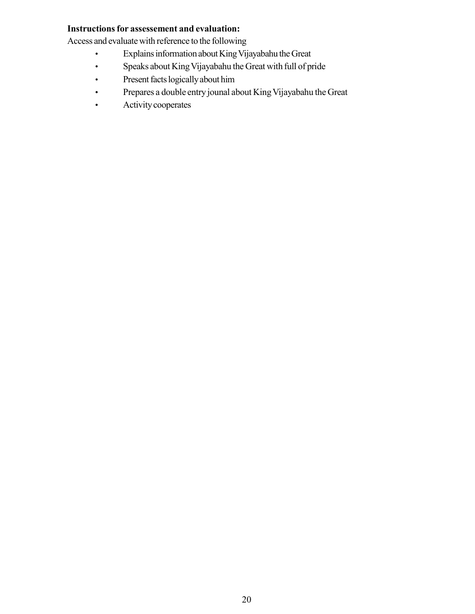#### **Instructions for assessement and evaluation:**

Access and evaluate with reference to the following

- Explains information about King Vijayabahu the Great
- Speaks about King Vijayabahu the Great with full of pride
- Present facts logically about him
- Prepares a double entry jounal about King Vijayabahu the Great
- Activity cooperates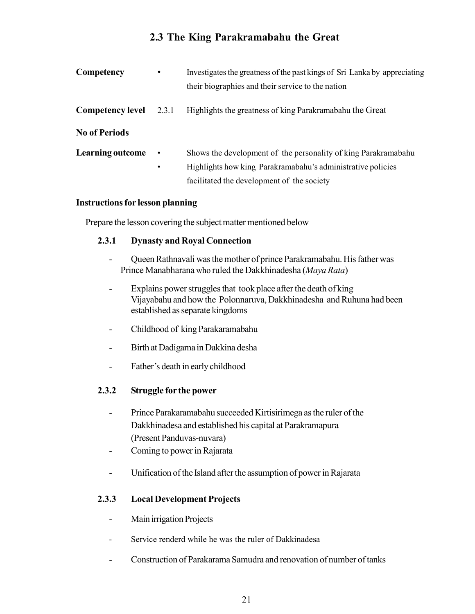## **2.3 The King Parakramabahu the Great**

| Competency              | ٠                      | Investigates the greatness of the past kings of Sri Lanka by appreciating<br>their biographies and their service to the nation                                              |
|-------------------------|------------------------|-----------------------------------------------------------------------------------------------------------------------------------------------------------------------------|
| <b>Competency level</b> | 2.3.1                  | Highlights the greatness of king Parakramabahu the Great                                                                                                                    |
| <b>No of Periods</b>    |                        |                                                                                                                                                                             |
| <b>Learning outcome</b> | $\bullet$<br>$\bullet$ | Shows the development of the personality of king Parakramabahu<br>Highlights how king Parakramabahu's administrative policies<br>facilitated the development of the society |

#### **Instructions for lesson planning**

Prepare the lesson covering the subject matter mentioned below

#### **2.3.1 Dynasty and Royal Connection**

- Queen Rathnavali was the mother of prince Parakramabahu. His father was Prince Manabharana who ruled the Dakkhinadesha (*Maya Rata*)
- Explains power struggles that took place after the death of king Vijayabahu and how the Polonnaruva, Dakkhinadesha and Ruhuna had been established as separate kingdoms
- Childhood of king Parakaramabahu
- Birth at Dadigama in Dakkina desha
- Father's death in early childhood

#### **2.3.2 Struggle for the power**

- Prince Parakaramabahu succeeded Kirtisirimega as the ruler of the Dakkhinadesa and established his capital at Parakramapura (Present Panduvas-nuvara)
- Coming to power in Rajarata
- Unification of the Island after the assumption of power in Rajarata

#### **2.3.3 Local Development Projects**

- Main irrigation Projects
- Service renderd while he was the ruler of Dakkinadesa
- Construction of Parakarama Samudra and renovation of number of tanks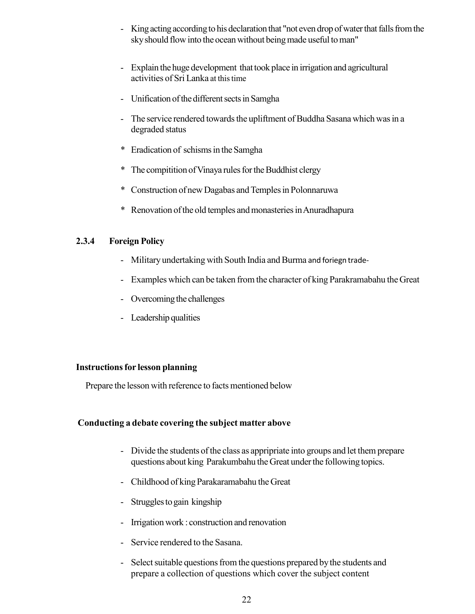- King acting according to his declaration that "not even drop of water that falls from the sky should flow into the ocean without being made useful to man"
- Explain the huge development that took place in irrigation and agricultural activities of Sri Lanka at this time
- Unification of the different sects in Samgha
- The service rendered towards the upliftment of Buddha Sasana which was in a degraded status
- \* Eradication of schisms in the Samgha
- \* The compitition of Vinaya rules for the Buddhist clergy
- \* Construction of new Dagabas and Temples in Polonnaruwa
- \* Renovation of the old temples and monasteries in Anuradhapura

#### **2.3.4 Foreign Policy**

- Military undertaking with South India and Burma and foriegn trade-
- Examples which can be taken from the character of king Parakramabahu the Great
- Overcoming the challenges
- Leadership qualities

#### **Instructions for lesson planning**

Prepare the lesson with reference to facts mentioned below

#### **Conducting a debate covering the subject matter above**

- Divide the students of the class as appripriate into groups and let them prepare questions about king Parakumbahu the Great under the following topics.
- Childhood of king Parakaramabahu the Great
- Struggles to gain kingship
- Irrigation work : construction and renovation
- Service rendered to the Sasana.
- Select suitable questions from the questions prepared by the students and prepare a collection of questions which cover the subject content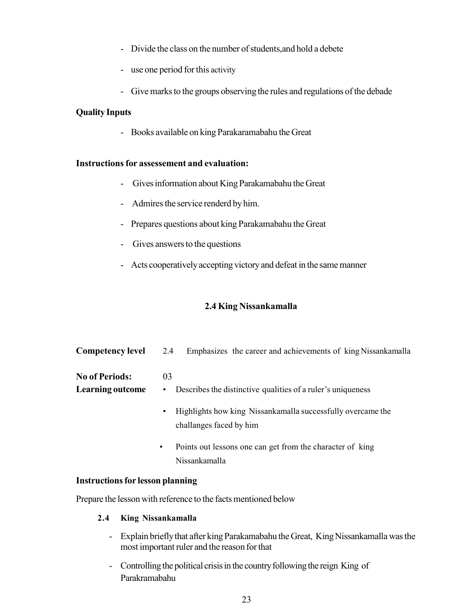- Divide the class on the number of students,and hold a debete
- use one period for this activity
- Give marks to the groups observing the rules and regulations of the debade

#### **Quality Inputs**

- Books available on king Parakaramabahu the Great

#### **Instructions for assessement and evaluation:**

- Gives information about King Parakamabahu the Great
- Admires the service renderd by him.
- Prepares questions about king Parakamabahu the Great
- Gives answers to the questions
- Acts cooperatively accepting victory and defeat in the same manner

#### **2.4 King Nissankamalla**

| <b>Competency level</b>                          | 2.4<br>Emphasizes the career and achievements of king Nissankamalla                                                                                                                                                                                                              |
|--------------------------------------------------|----------------------------------------------------------------------------------------------------------------------------------------------------------------------------------------------------------------------------------------------------------------------------------|
| <b>No of Periods:</b><br><b>Learning outcome</b> | 03<br>Describes the distinctive qualities of a ruler's uniqueness<br>$\bullet$<br>Highlights how king Nissankamalla successfully overcame the<br>$\bullet$<br>challanges faced by him<br>Points out lessons one can get from the character of king<br>$\bullet$<br>Nissankamalla |
|                                                  |                                                                                                                                                                                                                                                                                  |

#### **Instructions for lesson planning**

Prepare the lesson with reference to the facts mentioned below

#### **2.4 King Nissankamalla**

- Explain briefly that after king Parakamabahu the Great, King Nissankamalla was the most important ruler and the reason for that
- Controlling the political crisis in the country following the reign King of Parakramabahu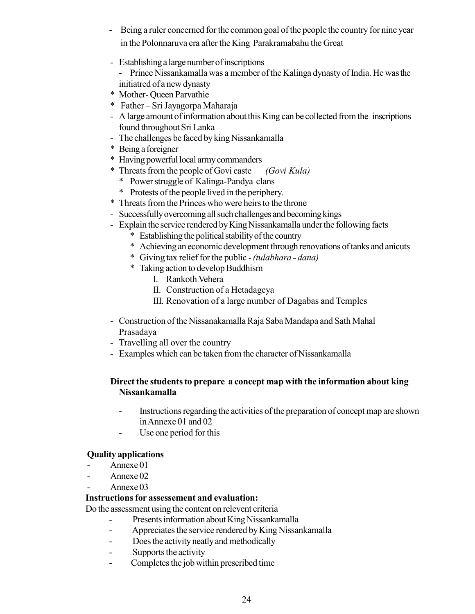- Being a ruler concerned for the common goal of the people the country for nine year in the Polonnaruva era after the King Parakramabahu the Great
- Establishing a large number of inscriptions
	- Prince Nissankamalla was a member of the Kalinga dynasty of India. He wasthe initiatred of a new dynasty
- \* Mother- Queen Parvathie
- \* Father Sri Jayagorpa Maharaja
- A large amount of information about this King can be collected from the inscriptions found throughout Sri Lanka
- The challenges be faced by king Nissankamalla
- \* Being a foreigner
- \* Having powerful local army commanders
- \* Threats from the people of Govi caste *(Govi Kula)*
	- \* Power struggle of Kalinga-Pandya clans
	- \* Protests of the people lived in the periphery.
- \* Threats from the Princes who were heirs to the throne
- Successfully overcoming all such challenges and becoming kings
- Explain the service rendered by King Nissankamalla under the following facts
	- \* Establishing the political stability of the country
	- \* Achieving an economic development through renovations of tanks and anicuts
	- \* Giving tax relief for the public *(tulabhara dana)*
	- \* Taking action to develop Buddhism
		- I. Rankoth Vehera
		- II. Construction of a Hetadageya
		- III. Renovation of a large number of Dagabas and Temples
- Construction of the Nissanakamalla Raja Saba Mandapa and Sath Mahal Prasadaya
- Travelling all over the country
- Examples which can be taken from the character of Nissankamalla

#### **Direct the students to prepare a concept map with the information about king Nissankamalla**

- Instructions regarding the activities of the preparation of concept map are shown in Annexe 01 and 02
- Use one period for this

#### **Quality applications**

- Annexe 01
- Annexe 02
- Annexe 03

#### **Instructions for assessement and evaluation:**

Do the assessment using the content on relevent criteria

- Presents information about King Nissankamalla
- Appreciates the service rendered by King Nissankamalla
- Does the activity neatly and methodically
- Supports the activity
- Completes the job within prescribed time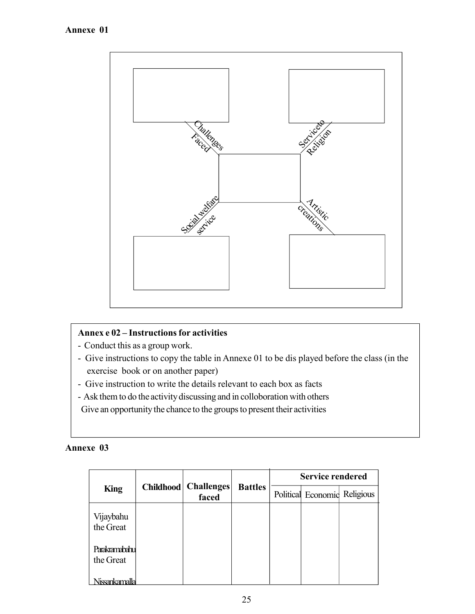

#### **Annex e 02 – Instructions for activities**

- Conduct this as a group work.
- Give instructions to copy the table in Annexe 01 to be dis played before the class (in the exercise book or on another paper)
- Give instruction to write the details relevant to each box as facts
- Ask them to do the activity discussing and in colloboration with others

Give an opportunity the chance to the groups to present their activities

#### **Annexe 03**

|                            |           |                            |                | <b>Service rendered</b> |                              |  |
|----------------------------|-----------|----------------------------|----------------|-------------------------|------------------------------|--|
| <b>King</b>                | Childhood | <b>Challenges</b><br>faced | <b>Battles</b> |                         | Political Economic Religious |  |
| Vijaybahu<br>the Great     |           |                            |                |                         |                              |  |
| Parakramabahu<br>the Great |           |                            |                |                         |                              |  |
| Niccontarmalla             |           |                            |                |                         |                              |  |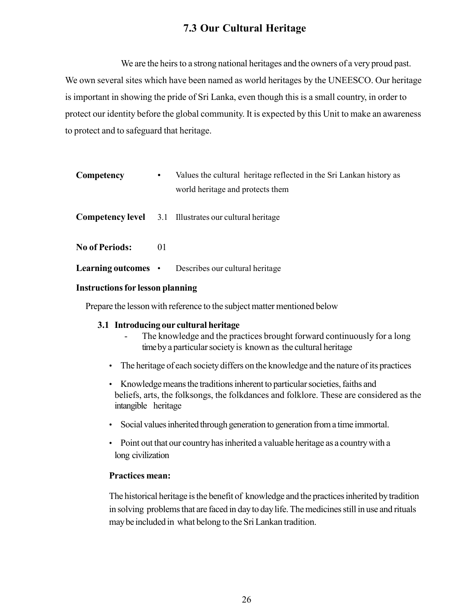## **7.3 Our Cultural Heritage**

We are the heirs to a strong national heritages and the owners of a very proud past. We own several sites which have been named as world heritages by the UNEESCO. Our heritage is important in showing the pride of Sri Lanka, even though this is a small country, in order to protect our identity before the global community. It is expected by this Unit to make an awareness to protect and to safeguard that heritage.

| Competency            | $\bullet$ | Values the cultural heritage reflected in the Sri Lankan history as<br>world heritage and protects them |
|-----------------------|-----------|---------------------------------------------------------------------------------------------------------|
|                       |           | <b>Competency level</b> 3.1 Illustrates our cultural heritage                                           |
| <b>No of Periods:</b> | 01        |                                                                                                         |
|                       |           | <b>Learning outcomes</b> • Describes our cultural heritage                                              |

#### **Instructions for lesson planning**

Prepare the lesson with reference to the subject matter mentioned below

#### **3.1 Introducing our cultural heritage**

- The knowledge and the practices brought forward continuously for a long timeby a particular society is known as the cultural heritage
- The heritage of each society differs on the knowledge and the nature of its practices
- Knowledge means the traditions inherent to particular societies, faiths and beliefs, arts, the folksongs, the folkdances and folklore. These are considered as the intangible heritage
- Social values inherited through generation to generation from a time immortal.
- Point out that our country has inherited a valuable heritage as a country with a long civilization

#### **Practices mean:**

The historical heritage is the benefit of knowledge and the practices inherited by tradition in solving problems that are faced in day to day life. The medicines still in use and rituals may be included in what belong to the Sri Lankan tradition.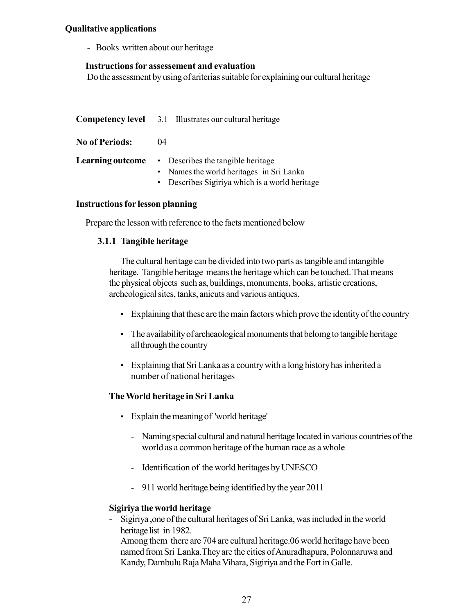#### **Qualitative applications**

- Books written about our heritage

#### **Instructions for assessement and evaluation**

Do the assessment by using of ariterias suitable for explaining our cultural heritage

|                       | <b>Competency level</b> 3.1 Illustrates our cultural heritage                                                                                                      |
|-----------------------|--------------------------------------------------------------------------------------------------------------------------------------------------------------------|
| <b>No of Periods:</b> | (1)4                                                                                                                                                               |
|                       | <b>Learning outcome</b> • Describes the tangible heritage<br>• Names the world heritages in Sri Lanka<br>Describes Sigiriya which is a world heritage<br>$\bullet$ |

#### **Instructions for lesson planning**

Prepare the lesson with reference to the facts mentioned below

#### **3.1.1 Tangible heritage**

The cultural heritage can be divided into two parts as tangible and intangible heritage. Tangible heritage means the heritage which can be touched. That means the physical objects such as, buildings, monuments, books, artistic creations, archeological sites, tanks, anicuts and various antiques.

- Explaining that these are the main factors which prove the identity of the country
- The availability of archeaological monuments that belomg to tangible heritage all through the country
- Explaining that Sri Lanka as a country with a long history has inherited a number of national heritages

#### **The World heritage in Sri Lanka**

- Explain the meaning of 'world heritage'
	- Naming special cultural and natural heritage located in various countries of the world as a common heritage of the human race as a whole
	- Identification of the world heritages by UNESCO
	- 911 world heritage being identified by the year 2011

#### **Sigiriya the world heritage**

- Sigiriya ,one of the cultural heritages of Sri Lanka, was included in the world heritage list in 1982.

Among them there are 704 are cultural heritage.06 world heritage have been named from Sri Lanka.They are the cities of Anuradhapura, Polonnaruwa and Kandy, Dambulu Raja Maha Vihara, Sigiriya and the Fort in Galle.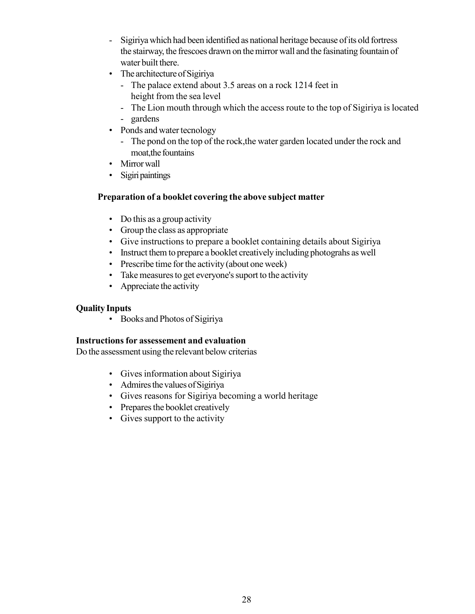- Sigiriya which had been identified as national heritage because of its old fortress the stairway, the frescoes drawn on the mirror wall and the fasinating fountain of water built there.
- The architecture of Sigiriya
	- The palace extend about 3.5 areas on a rock 1214 feet in height from the sea level
	- The Lion mouth through which the access route to the top of Sigiriya is located
	- gardens
- Ponds and water tecnology
	- The pond on the top of the rock,the water garden located under the rock and moat,the fountains
- Mirror wall
- Sigiri paintings

#### **Preparation of a booklet covering the above subject matter**

- Do this as a group activity
- Group the class as appropriate
- Give instructions to prepare a booklet containing details about Sigiriya
- Instruct them to prepare a booklet creatively including photograhs as well
- Prescribe time for the activity (about one week)
- Take measures to get everyone's suport to the activity
- Appreciate the activity

#### **Quality Inputs**

• Books and Photos of Sigiriya

#### **Instructions for assessement and evaluation**

Do the assessment using the relevant below criterias

- Gives information about Sigiriya
- Admires the values of Sigiriya
- Gives reasons for Sigiriya becoming a world heritage
- Prepares the booklet creatively
- Gives support to the activity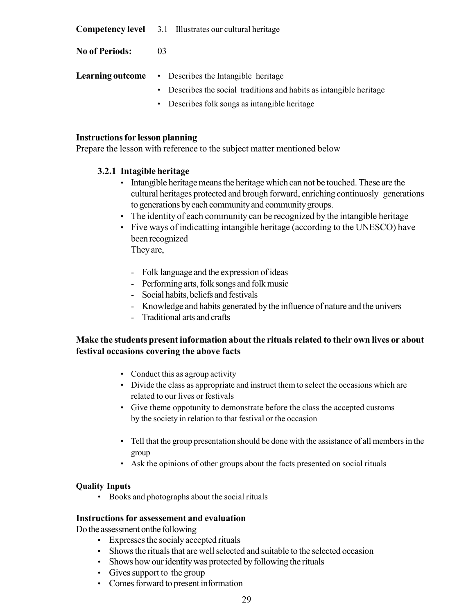**Competency level** 3.1 Illustrates our cultural heritage

**No of Periods:** 03

- **Learning outcome** Describes the Intangible heritage
	- Describes the social traditions and habits as intangible heritage
	- Describes folk songs as intangible heritage

#### **Instructions for lesson planning**

Prepare the lesson with reference to the subject matter mentioned below

#### **3.2.1 Intagible heritage**

- Intangible heritage means the heritage which can not be touched. These are the cultural heritages protected and brough forward, enriching continuosly generations to generations by each community and community groups.
- The identity of each community can be recognized by the intangible heritage
- Five ways of indicatting intangible heritage (according to the UNESCO) have been recognized

They are,

- Folk language and the expression of ideas
- Performing arts, folk songs and folk music
- Social habits, beliefs and festivals
- Knowledge and habits generated by the influence of nature and the univers
- Traditional arts and crafts

#### **Make the students present information about the rituals related to their own lives or about festival occasions covering the above facts**

- Conduct this as agroup activity
- Divide the class as appropriate and instruct them to select the occasions which are related to our lives or festivals
- Give theme oppotunity to demonstrate before the class the accepted customs by the society in relation to that festival or the occasion
- Tell that the group presentation should be done with the assistance of all members in the group
- Ask the opinions of other groups about the facts presented on social rituals

#### **Quality Inputs**

• Books and photographs about the social rituals

#### **Instructions for assessement and evaluation**

Do the assessment onthe following

- Expresses the socialy accepted rituals
- Shows the rituals that are well selected and suitable to the selected occasion
- Shows how our identity was protected by following the rituals
- Gives support to the group
- Comes forward to present information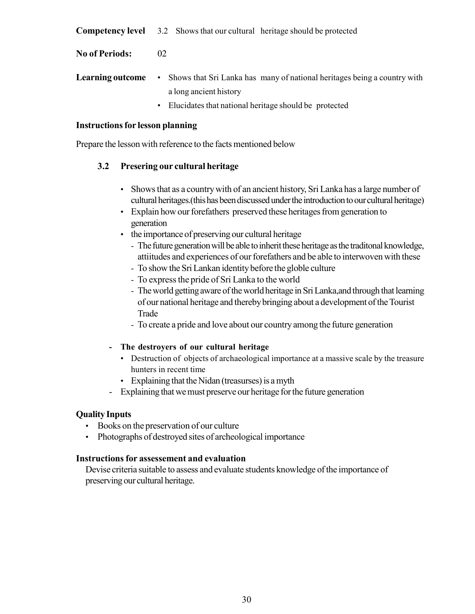**Competency level** 3.2 Shows that our cultural heritage should be protected

**No of Periods:** 02

- **Learning outcome** Shows that Sri Lanka has many of national heritages being a country with a long ancient history
	- Elucidates that national heritage should be protected

#### **Instructions for lesson planning**

Prepare the lesson with reference to the facts mentioned below

#### **3.2 Presering our cultural heritage**

- Shows that as a country with of an ancient history, Sri Lanka has a large number of cultural heritages.(this has been discussed under the introduction to our cultural heritage)
- Explain how our forefathers preserved these heritages from generation to generation
- the importance of preserving our cultural heritage
	- The future generation will be able to inherit these heritage as the traditonal knowledge, attiitudes and experiences of our forefathers and be able to interwoven with these
	- To show the Sri Lankan identity before the globle culture
	- To express the pride of Sri Lanka to the world
	- The world getting aware of the world heritage in Sri Lanka,and through that learning of our national heritage and thereby bringing about a development of the Tourist Trade
	- To create a pride and love about our country among the future generation

#### **- The destroyers of our cultural heritage**

- Destruction of objects of archaeological importance at a massive scale by the treasure hunters in recent time
- Explaining that the Nidan (treasurses) is a myth
- Explaining that we must preserve our heritage for the future generation

#### **Quality Inputs**

- Books on the preservation of our culture
- Photographs of destroyed sites of archeological importance

#### **Instructions for assessement and evaluation**

Devise criteria suitable to assess and evaluate students knowledge of the importance of preserving our cultural heritage.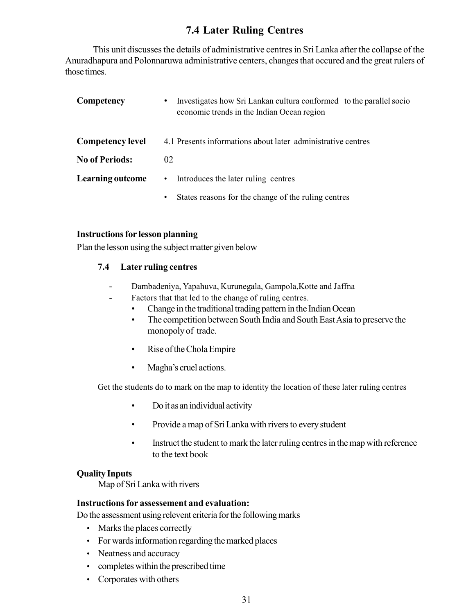### **7.4 Later Ruling Centres**

This unit discusses the details of administrative centres in Sri Lanka after the collapse of the Anuradhapura and Polonnaruwa administrative centers, changes that occured and the great rulers of those times.

| Competency              | Investigates how Sri Lankan cultura conformed to the parallel socion<br>$\bullet$<br>economic trends in the Indian Ocean region |
|-------------------------|---------------------------------------------------------------------------------------------------------------------------------|
| <b>Competency level</b> | 4.1 Presents informations about later administrative centres                                                                    |
| <b>No of Periods:</b>   | 02                                                                                                                              |
| <b>Learning outcome</b> | Introduces the later ruling centres<br>$\bullet$                                                                                |
|                         | States reasons for the change of the ruling centres<br>٠                                                                        |

#### **Instructions for lesson planning**

Plan the lesson using the subject matter given below

#### **7.4 Later ruling centres**

- Dambadeniya, Yapahuva, Kurunegala, Gampola,Kotte and Jaffna
- Factors that that led to the change of ruling centres.
	- Change in the traditional trading pattern in the Indian Ocean
	- The competition between South India and South East Asia to preserve the monopoly of trade.
	- Rise of the Chola Empire
	- Magha's cruel actions.

Get the students do to mark on the map to identity the location of these later ruling centres

- Do it as an individual activity
- Provide a map of Sri Lanka with rivers to every student
- Instruct the student to mark the later ruling centres in the map with reference to the text book

#### **Quality Inputs**

Map of Sri Lanka with rivers

#### **Instructions for assessement and evaluation:**

Do the assessment using relevent eriteria for the following marks

- Marks the places correctly
- For wards information regarding the marked places
- Neatness and accuracy
- completes within the prescribed time
- Corporates with others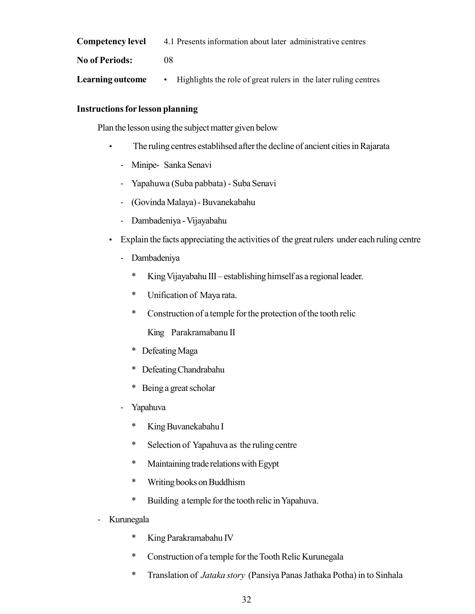**Competency level** 4.1 Presents information about later administrative centres

**No of Periods:** 08

**Learning outcome** • Highlights the role of great rulers in the later ruling centres

#### **Instructions for lesson planning**

Plan the lesson using the subject matter given below

- The ruling centres establihsed after the decline of ancient cities in Rajarata
	- Minipe- Sanka Senavi
	- Yapahuwa (Suba pabbata) Suba Senavi
	- (Govinda Malaya) Buvanekabahu
	- Dambadeniya Vijayabahu
- Explain the facts appreciating the activities of the great rulers under each ruling centre
	- Dambadeniya
		- \* King Vijayabahu III establishing himself as a regional leader.
		- \* Unification of Maya rata.
		- \* Construction of a temple for the protection of the tooth relic

King Parakramabanu II

- \* Defeating Maga
- \* Defeating Chandrabahu
- \* Being a great scholar
- Yapahuva
	- \* King Buvanekabahu I
	- \* Selection of Yapahuva as the ruling centre
	- \* Maintaining trade relations with Egypt
	- \* Writing books on Buddhism
	- \* Building a temple for the tooth relic in Yapahuva.
- Kurunegala
	- \* King Parakramabahu IV
	- \* Construction of a temple for the Tooth Relic Kurunegala
	- \* Translation of *Jataka story* (Pansiya Panas Jathaka Potha) in to Sinhala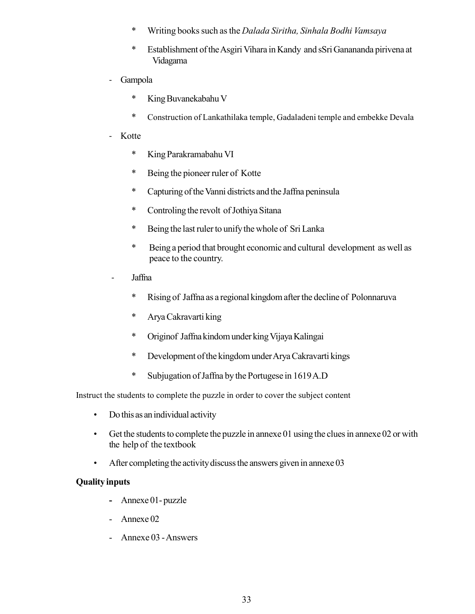- \* Writing books such as the *Dalada Siritha, Sinhala Bodhi Vamsaya*
- \* Establishment of the Asgiri Vihara in Kandy and sSri Ganananda pirivena at Vidagama
- Gampola
	- \* King Buvanekabahu V
	- \* Construction of Lankathilaka temple, Gadaladeni temple and embekke Devala
- Kotte
	- \* King Parakramabahu VI
	- \* Being the pioneer ruler of Kotte
	- \* Capturing of the Vanni districts and the Jaffna peninsula
	- \* Controling the revolt of Jothiya Sitana
	- \* Being the last ruler to unify the whole of Sri Lanka
	- \* Being a period that brought economic and cultural development as well as peace to the country.
- Jaffna
	- \* Rising of Jaffna as a regional kingdom after the decline of Polonnaruva
	- \* Arya Cakravarti king
	- \* Originof Jaffna kindom under kingVijaya Kalingai
	- \* Development of the kingdom under Arya Cakravarti kings
	- \* Subjugation of Jaffna by the Portugese in 1619 A.D

Instruct the students to complete the puzzle in order to cover the subject content

- Do this as an individual activity
- Get the students to complete the puzzle in annexe 01 using the clues in annexe 02 or with the help of the textbook
- After completing the activity discuss the answers given in annexe 03

#### **Quality inputs**

- **-** Annexe 01- puzzle
- Annexe 02
- Annexe 03 Answers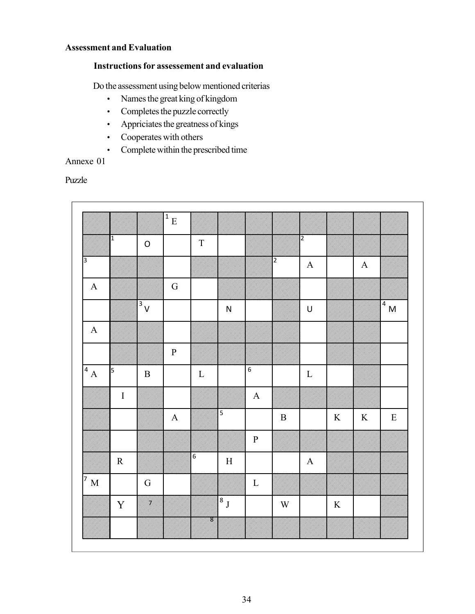#### **Assessment and Evaluation**

#### **Instructions for assessement and evaluation**

Do the assessment using below mentioned criterias

- Names the great king of kingdom
- Completes the puzzle correctly
- Appriciates the greatness of kings
- Cooperates with others
- Complete within the prescribed time

#### Annexe 01

#### Puzzle

|                  |                |                      | $\sqrt{\frac{1}{E}}$ |                |                |                |                |                |         |             |              |
|------------------|----------------|----------------------|----------------------|----------------|----------------|----------------|----------------|----------------|---------|-------------|--------------|
|                  | $\overline{1}$ | $\mathsf O$          |                      | $\mathbf T$    |                |                |                | $\overline{2}$ |         |             |              |
| $\overline{3}$   |                |                      |                      |                |                |                | $\overline{2}$ | $\mathbf A$    |         | $\mathbf A$ |              |
| $\mathbf A$      |                |                      | ${\bf G}$            |                |                |                |                |                |         |             |              |
|                  |                | $\sqrt{\frac{3}{1}}$ |                      |                | ${\sf N}$      |                |                | $\mathsf U$    |         |             | $\sqrt{4}$ M |
| $\mathbf A$      |                |                      |                      |                |                |                |                |                |         |             |              |
|                  |                |                      | ${\bf P}$            |                |                |                |                |                |         |             |              |
| $\sqrt{4}A$      | 5              | $\, {\bf B}$         |                      | $\mathbf L$    |                | $\overline{6}$ |                | ${\bf L}$      |         |             |              |
|                  | $\rm I$        |                      |                      |                |                | $\mathbf A$    |                |                |         |             |              |
|                  |                |                      | $\mathbf A$          |                | $\overline{5}$ |                | $\, {\bf B}$   |                | $\rm K$ | $\,$ K      | $\mathbf E$  |
|                  |                |                      |                      |                |                | ${\bf P}$      |                |                |         |             |              |
|                  | ${\bf R}$      |                      |                      | $\overline{6}$ | $\mathbf H$    |                |                | $\mathbf A$    |         |             |              |
| $\overline{7}$ M |                | ${\bf G}$            |                      |                |                | $\mathbf L$    |                |                |         |             |              |
|                  | $\mathbf Y$    | <u>i ku</u>          |                      |                | $\sqrt{8}$ J   |                | $\mathbf W$    |                | $\rm K$ |             |              |
|                  |                |                      |                      | en<br>Si       |                |                |                |                |         |             |              |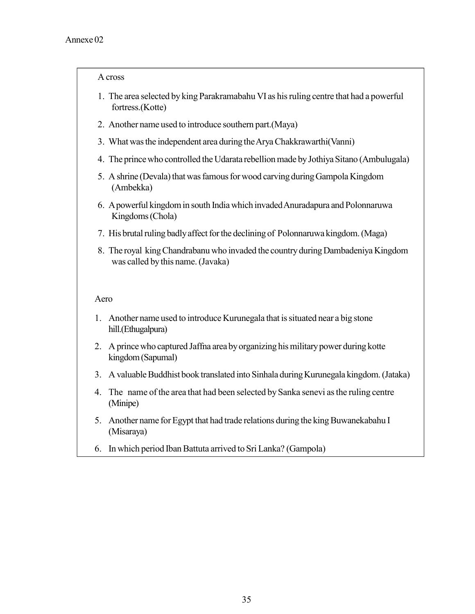#### A cross

- 1. The area selected by king Parakramabahu VI as his ruling centre that had a powerful fortress.(Kotte)
- 2. Another name used to introduce southern part.(Maya)
- 3. What was the independent area during the Arya Chakkrawarthi(Vanni)
- 4. The prince who controlled the Udarata rebellion made by Jothiya Sitano (Ambulugala)
- 5. A shrine (Devala) that was famous for wood carving during Gampola Kingdom (Ambekka)
- 6. A powerful kingdom in south India which invaded Anuradapura and Polonnaruwa Kingdoms (Chola)
- 7. His brutal ruling badly affect for the declining of Polonnaruwa kingdom. (Maga)
- 8. The royal king Chandrabanu who invaded the country during Dambadeniya Kingdom was called by this name. (Javaka)

#### Aero

- 1. Another name used to introduce Kurunegala that is situated near a big stone hill.(Ethugalpura)
- 2. A prince who captured Jaffna area by organizing his military power during kotte kingdom (Sapumal)
- 3. A valuable Buddhist book translated into Sinhala during Kurunegala kingdom. (Jataka)
- 4. The name of the area that had been selected by Sanka senevi as the ruling centre (Minipe)
- 5. Another name for Egypt that had trade relations during the king Buwanekabahu I (Misaraya)
- 6. In which period Iban Battuta arrived to Sri Lanka? (Gampola)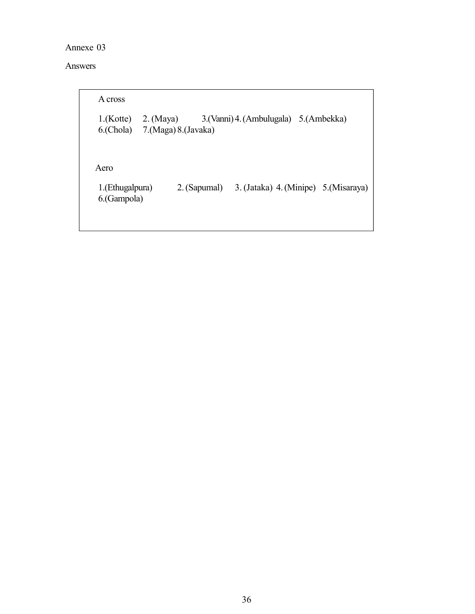Annexe 03

#### Answers

| A cross                                |                                                         |                                         |
|----------------------------------------|---------------------------------------------------------|-----------------------------------------|
|                                        | $1.$ (Kotte) 2. (Maya)<br>6.(Chola) 7.(Maga) 8.(Javaka) | 3. (Vanni) 4. (Ambulugala) 5. (Ambekka) |
| Aero<br>1.(Ethugalpura)<br>6.(Gampola) | 2. (Sapumal)                                            | 3. (Jataka) 4. (Minipe) 5. (Misaraya)   |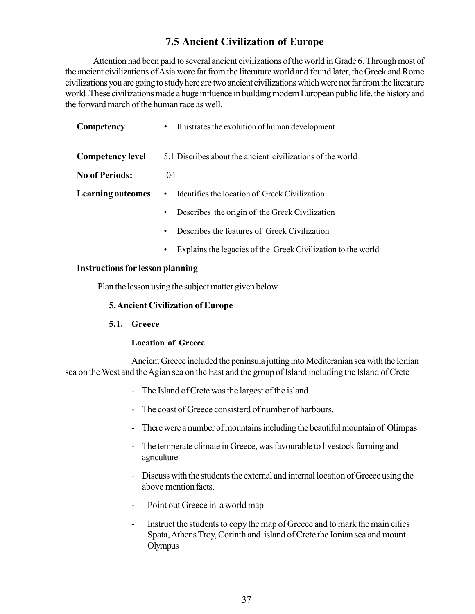## **7.5 Ancient Civilization of Europe**

Attention had been paid to several ancient civilizations of the world in Grade 6. Through most of the ancient civilizations of Asia wore far from the literature world and found later, the Greek and Rome civilizations you are going to study here are two ancient civilizations which were not far from the literature world .These civilizations made a huge influence in building modern European public life, the history and the forward march of the human race as well.

| Competency               | Illustrates the evolution of human development<br>$\bullet$ |
|--------------------------|-------------------------------------------------------------|
| <b>Competency level</b>  | 5.1 Discribes about the ancient civilizations of the world  |
| <b>No of Periods:</b>    | $^{04}$                                                     |
| <b>Learning outcomes</b> | Identifies the location of Greek Civilization<br>$\bullet$  |
|                          | Describes the origin of the Greek Civilization<br>$\bullet$ |
|                          | Describes the features of Greek Civilization<br>$\bullet$   |
|                          |                                                             |

Explains the legacies of the Greek Civilization to the world

#### **Instructions for lesson planning**

Plan the lesson using the subject matter given below

#### **5. Ancient Civilization of Europe**

**5.1. Greece**

#### **Location of Greece**

Ancient Greece included the peninsula jutting into Mediteranian sea with the Ionian sea on the West and the Agian sea on the East and the group of Island including the Island of Crete

- The Island of Crete was the largest of the island
- The coast of Greece consisterd of number of harbours.
- There were a number of mountains including the beautiful mountain of Olimpas
- The temperate climate in Greece, was favourable to livestock farming and agriculture
- Discuss with the students the external and internal location of Greece using the above mention facts.
- Point out Greece in a world map
- Instruct the students to copy the map of Greece and to mark the main cities Spata, Athens Troy, Corinth and island of Crete the Ionian sea and mount **Olympus**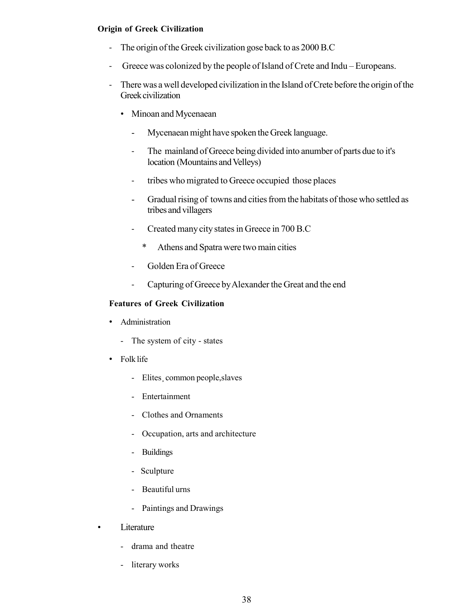#### **Origin of Greek Civilization**

- The origin of the Greek civilization gose back to as 2000 B.C
- Greece was colonized by the people of Island of Crete and Indu Europeans.
- There was a well developed civilization in the Island of Crete before the origin of the Greek civilization
	- Minoan and Mycenaean
		- Mycenaean might have spoken the Greek language.
		- The mainland of Greece being divided into anumber of parts due to it's location (Mountains and Velleys)
		- tribes who migrated to Greece occupied those places
		- Gradual rising of towns and cities from the habitats of those who settled as tribes and villagers
		- Created many city states in Greece in 700 B.C
			- \* Athens and Spatra were two main cities
		- Golden Era of Greece
		- Capturing of Greece by Alexander the Great and the end

#### **Features of Greek Civilization**

- Administration
	- The system of city states
- Folk life
	- Elites¸ common people,slaves
	- Entertainment
	- Clothes and Ornaments
	- Occupation, arts and architecture
	- Buildings
	- Sculpture
	- Beautiful urns
	- Paintings and Drawings
- Literature
	- drama and theatre
	- literary works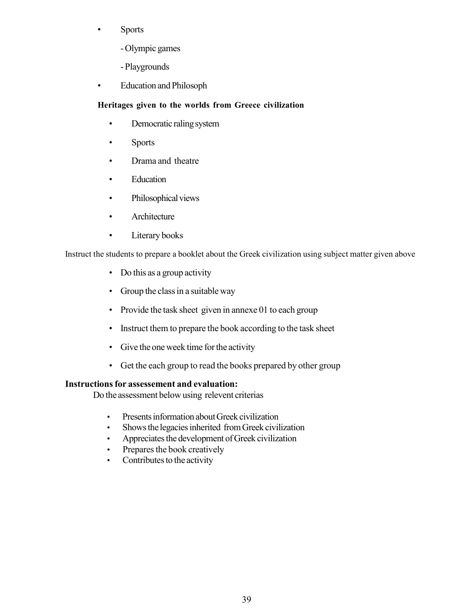- Sports
	- Olympic games
	- Playgrounds
- Education and Philosoph

#### **Heritages given to the worlds from Greece civilization**

- Democratic raling system
- Sports
- Drama and theatre
- Education
- Philosophical views
- Architecture
- Literary books

Instruct the students to prepare a booklet about the Greek civilization using subject matter given above

- Do this as a group activity
- Group the class in a suitable way
- Provide the task sheet given in annexe 01 to each group
- Instruct them to prepare the book according to the task sheet
- Give the one week time for the activity
- Get the each group to read the books prepared by other group

#### **Instructions for assessement and evaluation:**

Do the assessment below using relevent criterias

- Presents information about Greek civilization
- Shows the legacies inherited from Greek civilization
- Appreciates the development of Greek civilization
- Prepares the book creatively
- Contributes to the activity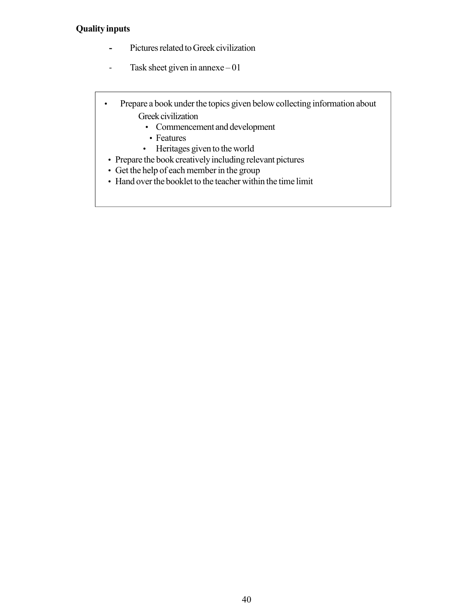#### **Quality inputs**

- **-** Pictures related to Greek civilization
- Task sheet given in annexe 01

 • Prepare a book under the topics given below collecting information about Greek civilization

- Commencement and development
- Features
- Heritages given to the world
- Prepare the book creatively including relevant pictures
- Get the help of each member in the group
- Hand over the booklet to the teacher within the time limit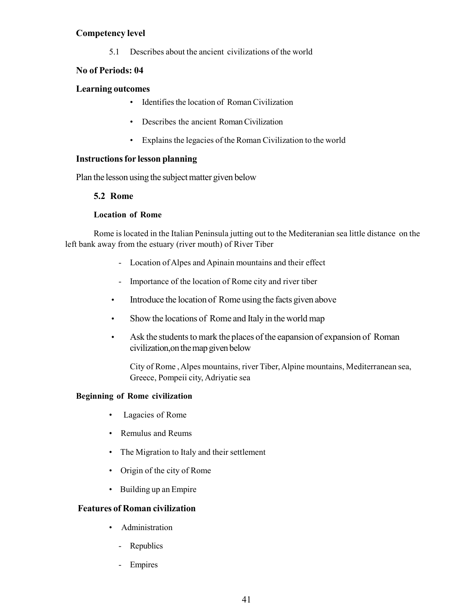#### **Competency level**

5.1 Describes about the ancient civilizations of the world

#### **No of Periods: 04**

#### **Learning outcomes**

- Identifies the location of Roman Civilization
- Describes the ancient Roman Civilization
- Explains the legacies of the Roman Civilization to the world

#### **Instructions for lesson planning**

Plan the lesson using the subject matter given below

#### **5.2 Rome**

#### **Location of Rome**

Rome is located in the Italian Peninsula jutting out to the Mediteranian sea little distance on the left bank away from the estuary (river mouth) of River Tiber

- Location of Alpes and Apinain mountains and their effect
- Importance of the location of Rome city and river tiber
- Introduce the location of Rome using the facts given above
- Show the locations of Rome and Italy in the world map
- Ask the students to mark the places of the eapansion of expansion of Roman civilization,on the map given below

City of Rome , Alpes mountains, river Tiber, Alpine mountains, Mediterranean sea, Greece, Pompeii city, Adriyatie sea

#### **Beginning of Rome civilization**

- Lagacies of Rome
- Remulus and Reums
- The Migration to Italy and their settlement
- Origin of the city of Rome
- Building up an Empire

#### **Features of Roman civilization**

- Administration
	- Republics
	- Empires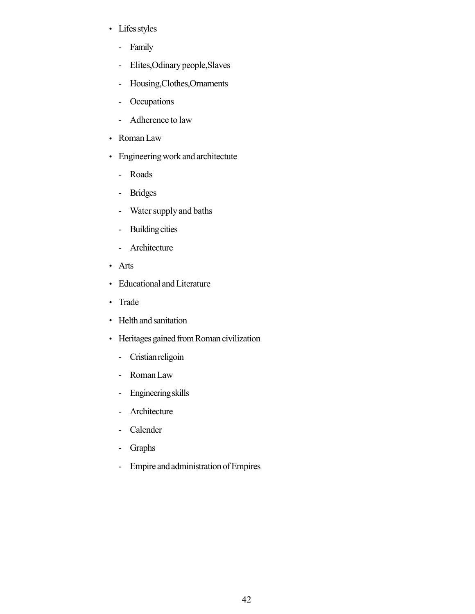- Lifes styles
	- Family
	- Elites,Odinary people,Slaves
	- Housing,Clothes,Ornaments
	- Occupations
	- Adherence to law
- Roman Law
- Engineering work and architectute
	- Roads
	- Bridges
	- Water supply and baths
	- Building cities
	- Architecture
- Arts
- Educational and Literature
- Trade
- Helth and sanitation
- Heritages gained from Roman civilization
	- Cristian religoin
	- Roman Law
	- Engineering skills
	- Architecture
	- Calender
	- Graphs
	- Empire and administration of Empires